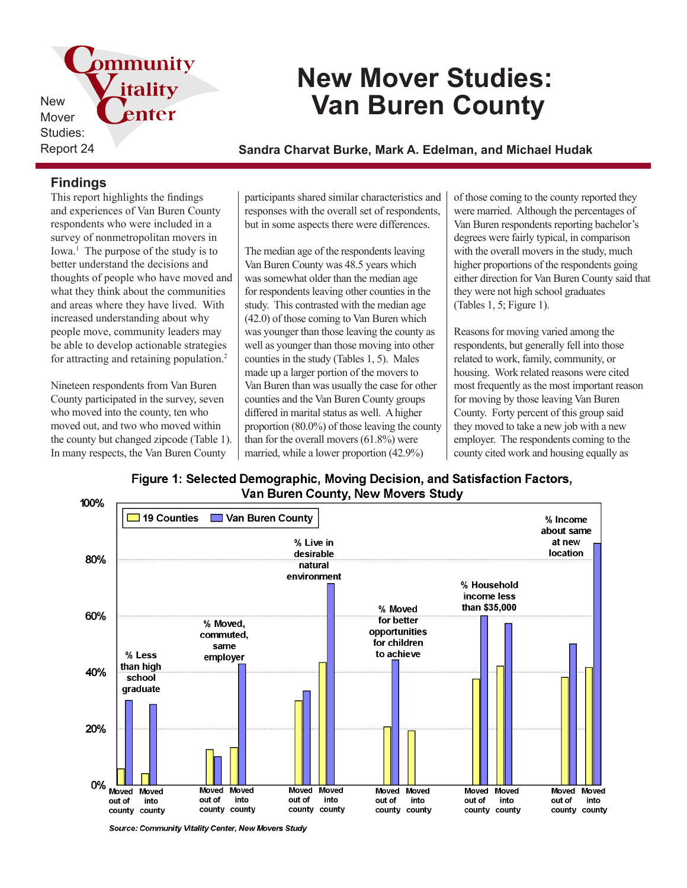pmmunity New Mover Studies:

# **New Mover Studies: Van Buren County**

Report 24 **Sandra Charvat Burke, Mark A. Edelman, and Michael Hudak**

## **Findings**

This report highlights the findings and experiences of Van Buren County respondents who were included in a survey of nonmetropolitan movers in Iowa.<sup>1</sup> The purpose of the study is to better understand the decisions and thoughts of people who have moved and what they think about the communities and areas where they have lived. With increased understanding about why people move, community leaders may be able to develop actionable strategies for attracting and retaining population.<sup>2</sup>

itality

enter

Nineteen respondents from Van Buren County participated in the survey, seven who moved into the county, ten who moved out, and two who moved within the county but changed zipcode (Table 1). In many respects, the Van Buren County

participants shared similar characteristics and responses with the overall set of respondents, but in some aspects there were differences.

The median age of the respondents leaving Van Buren County was 48.5 years which was somewhat older than the median age for respondents leaving other counties in the study. This contrasted with the median age (42.0) of those coming to Van Buren which was younger than those leaving the county as well as younger than those moving into other counties in the study (Tables 1, 5). Males made up a larger portion of the movers to Van Buren than was usually the case for other counties and the Van Buren County groups differed in marital status as well. A higher proportion (80.0%) of those leaving the county than for the overall movers (61.8%) were married, while a lower proportion (42.9%)

of those coming to the county reported they were married. Although the percentages of Van Buren respondents reporting bachelor's degrees were fairly typical, in comparison with the overall movers in the study, much higher proportions of the respondents going either direction for Van Buren County said that they were not high school graduates (Tables 1, 5; Figure 1).

Reasons for moving varied among the respondents, but generally fell into those related to work, family, community, or housing. Work related reasons were cited most frequently as the most important reason for moving by those leaving Van Buren County. Forty percent of this group said they moved to take a new job with a new employer. The respondents coming to the county cited work and housing equally as





Source: Community Vitality Center, New Movers Study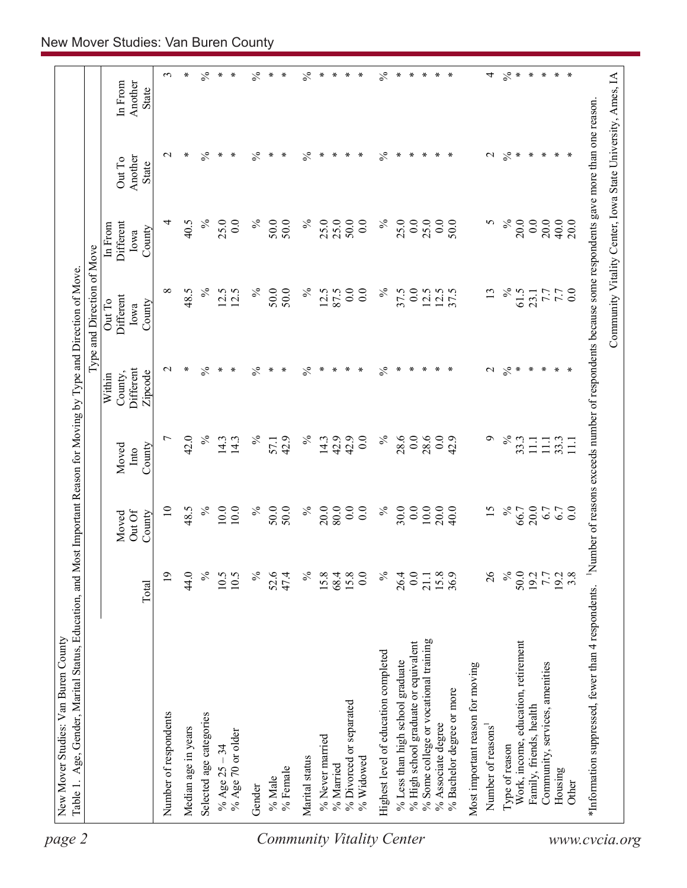| Another<br>In From<br>State<br>$\frac{5}{6}$<br>$\%$<br>$\%$<br>$\%$<br>$\frac{1}{\sqrt{6}}$<br>∗<br>$\ast$<br>∗<br>$\ast$<br>∗<br>∗<br>$\mathcal{L}$<br>∗<br>$\ast$<br>$\mathbf{\sim}$<br>∗<br>⋇<br>∗<br>∗<br>∗<br>∗<br>∗<br>∗<br>∗<br>∗<br>Another<br>Out To<br><b>State</b><br>$\%$<br>$\%$<br>$\%$<br>20.0<br>$\%$<br>25.0<br>25.0<br>50.0<br>$\%$<br>25.0<br>0.0<br>25.0<br>0.0<br>0.0<br>20.0<br>40.5<br>25.0<br>$_{0.0}$<br>50.0<br>50.0<br>0.0<br>50.0<br>5<br>40.0<br>4<br>20.0<br>Different<br>In From<br>County<br>Iowa<br>$\%$<br>$\%$<br>$\%$<br>50.0<br>0.0<br>$\%$<br>$\%$<br>∞<br>48.5<br>50.0<br>12.5<br>87.5<br>$\overline{0}$ .<br>37.5<br>0.0<br>37.5<br>13<br>61.5<br>12.5<br>12.5<br>12.5<br>12.5<br>$\overline{0.0}$<br>7.7<br>7.7<br>23.1<br>Different<br>Out To<br>County<br>Iowa<br>$\frac{5}{6}$<br>$\%$<br>$\%$<br>$\frac{1}{\sqrt{6}}$<br>∗<br>$\ast$<br>∗<br>$\ast$<br>℅<br>∗<br>$\ast$<br>$\ast$<br>∗<br>$\ast$<br>$\ast$<br>∗<br>⊀<br>$\ast$<br>$\ast$<br>$\mathcal{L}$<br>∗<br>∗<br>∗<br>$\mathbf 2$<br>∗<br>∗<br>Different<br>Zipcode<br>County,<br>Within<br>42.0<br>$\%$<br>$\%$<br>$\%$<br>28.6<br>0.0<br>28.6<br>0.0<br>$\circ$<br>$\%$<br>$\overline{ }$<br>$\%$<br>42.9<br>42.9<br>42.9<br>0.0<br>42.9<br>33.3<br>14.3<br>14.3<br>14.3<br>57.1<br>33.3<br>$\Xi$<br>11.1<br>$\Xi$<br>County<br>Moved<br>Into<br>$\%$<br>$\%$<br>0.0<br>0.0<br>10.0<br>20.0<br>$\equiv$<br>10.0<br>10.0<br>$\%$<br>50.0<br>50.0<br>20.0<br>80.0<br>0.0<br>$\%$<br>30.0<br>40.0<br>15<br>$\%$<br>20.0<br>48.5<br>66.7<br>6.7<br>6.7<br>$\overline{0.0}$<br>Out Of<br>County<br>Moved<br>$\overline{19}$<br>44.0<br>$\%$<br>$\%$<br>52.6<br>47.4<br>$\%$<br>0.0<br>$\%$<br>15.8<br>26<br>$\%$<br>50.0<br>$19.7$<br>$7.7$<br>$19.2$<br>$3.8$<br>10.5<br>10.5<br>15.8<br>68.4<br>15.8<br>26.4<br>0.0<br>21.1<br>Total<br>% Some college or vocational training<br>Work, income, education, retirement<br>% High school graduate or equivalent<br>Highest level of education completed<br>% Less than high school graduate<br>Community, services, amenities<br>Most important reason for moving<br>% Bachelor degree or more<br>% Divorced or separated<br>Family, friends, health<br>Number of respondents<br>Selected age categories<br>% Associate degree<br>Number of reasons<br>Median age in years<br>% Age 70 or older<br>% Never married<br>Type of reason<br>% Age $25 - 34$<br>Marital status<br>% Widowed<br>% Married<br>% Female<br>Housing<br>% Male<br>Other<br>Gender |  |  | Type and Direction of Move |  |            |
|---------------------------------------------------------------------------------------------------------------------------------------------------------------------------------------------------------------------------------------------------------------------------------------------------------------------------------------------------------------------------------------------------------------------------------------------------------------------------------------------------------------------------------------------------------------------------------------------------------------------------------------------------------------------------------------------------------------------------------------------------------------------------------------------------------------------------------------------------------------------------------------------------------------------------------------------------------------------------------------------------------------------------------------------------------------------------------------------------------------------------------------------------------------------------------------------------------------------------------------------------------------------------------------------------------------------------------------------------------------------------------------------------------------------------------------------------------------------------------------------------------------------------------------------------------------------------------------------------------------------------------------------------------------------------------------------------------------------------------------------------------------------------------------------------------------------------------------------------------------------------------------------------------------------------------------------------------------------------------------------------------------------------------------------------------------------------------------------------------------------------------------------------------------------------------------------------------------------------------------------------------------------------------------------------------------------------------------------------------------------------------------------------------------------------------------------------------------------------------------------------------|--|--|----------------------------|--|------------|
|                                                                                                                                                                                                                                                                                                                                                                                                                                                                                                                                                                                                                                                                                                                                                                                                                                                                                                                                                                                                                                                                                                                                                                                                                                                                                                                                                                                                                                                                                                                                                                                                                                                                                                                                                                                                                                                                                                                                                                                                                                                                                                                                                                                                                                                                                                                                                                                                                                                                                                         |  |  |                            |  |            |
|                                                                                                                                                                                                                                                                                                                                                                                                                                                                                                                                                                                                                                                                                                                                                                                                                                                                                                                                                                                                                                                                                                                                                                                                                                                                                                                                                                                                                                                                                                                                                                                                                                                                                                                                                                                                                                                                                                                                                                                                                                                                                                                                                                                                                                                                                                                                                                                                                                                                                                         |  |  |                            |  |            |
|                                                                                                                                                                                                                                                                                                                                                                                                                                                                                                                                                                                                                                                                                                                                                                                                                                                                                                                                                                                                                                                                                                                                                                                                                                                                                                                                                                                                                                                                                                                                                                                                                                                                                                                                                                                                                                                                                                                                                                                                                                                                                                                                                                                                                                                                                                                                                                                                                                                                                                         |  |  |                            |  | $\epsilon$ |
|                                                                                                                                                                                                                                                                                                                                                                                                                                                                                                                                                                                                                                                                                                                                                                                                                                                                                                                                                                                                                                                                                                                                                                                                                                                                                                                                                                                                                                                                                                                                                                                                                                                                                                                                                                                                                                                                                                                                                                                                                                                                                                                                                                                                                                                                                                                                                                                                                                                                                                         |  |  |                            |  | $\ast$     |
|                                                                                                                                                                                                                                                                                                                                                                                                                                                                                                                                                                                                                                                                                                                                                                                                                                                                                                                                                                                                                                                                                                                                                                                                                                                                                                                                                                                                                                                                                                                                                                                                                                                                                                                                                                                                                                                                                                                                                                                                                                                                                                                                                                                                                                                                                                                                                                                                                                                                                                         |  |  |                            |  | $\%$       |
|                                                                                                                                                                                                                                                                                                                                                                                                                                                                                                                                                                                                                                                                                                                                                                                                                                                                                                                                                                                                                                                                                                                                                                                                                                                                                                                                                                                                                                                                                                                                                                                                                                                                                                                                                                                                                                                                                                                                                                                                                                                                                                                                                                                                                                                                                                                                                                                                                                                                                                         |  |  |                            |  | ∗          |
|                                                                                                                                                                                                                                                                                                                                                                                                                                                                                                                                                                                                                                                                                                                                                                                                                                                                                                                                                                                                                                                                                                                                                                                                                                                                                                                                                                                                                                                                                                                                                                                                                                                                                                                                                                                                                                                                                                                                                                                                                                                                                                                                                                                                                                                                                                                                                                                                                                                                                                         |  |  |                            |  | $\ast$     |
|                                                                                                                                                                                                                                                                                                                                                                                                                                                                                                                                                                                                                                                                                                                                                                                                                                                                                                                                                                                                                                                                                                                                                                                                                                                                                                                                                                                                                                                                                                                                                                                                                                                                                                                                                                                                                                                                                                                                                                                                                                                                                                                                                                                                                                                                                                                                                                                                                                                                                                         |  |  |                            |  | $\%$       |
|                                                                                                                                                                                                                                                                                                                                                                                                                                                                                                                                                                                                                                                                                                                                                                                                                                                                                                                                                                                                                                                                                                                                                                                                                                                                                                                                                                                                                                                                                                                                                                                                                                                                                                                                                                                                                                                                                                                                                                                                                                                                                                                                                                                                                                                                                                                                                                                                                                                                                                         |  |  |                            |  | $\ast$     |
|                                                                                                                                                                                                                                                                                                                                                                                                                                                                                                                                                                                                                                                                                                                                                                                                                                                                                                                                                                                                                                                                                                                                                                                                                                                                                                                                                                                                                                                                                                                                                                                                                                                                                                                                                                                                                                                                                                                                                                                                                                                                                                                                                                                                                                                                                                                                                                                                                                                                                                         |  |  |                            |  | $*$        |
|                                                                                                                                                                                                                                                                                                                                                                                                                                                                                                                                                                                                                                                                                                                                                                                                                                                                                                                                                                                                                                                                                                                                                                                                                                                                                                                                                                                                                                                                                                                                                                                                                                                                                                                                                                                                                                                                                                                                                                                                                                                                                                                                                                                                                                                                                                                                                                                                                                                                                                         |  |  |                            |  | $\%$       |
|                                                                                                                                                                                                                                                                                                                                                                                                                                                                                                                                                                                                                                                                                                                                                                                                                                                                                                                                                                                                                                                                                                                                                                                                                                                                                                                                                                                                                                                                                                                                                                                                                                                                                                                                                                                                                                                                                                                                                                                                                                                                                                                                                                                                                                                                                                                                                                                                                                                                                                         |  |  |                            |  | $\ast$     |
|                                                                                                                                                                                                                                                                                                                                                                                                                                                                                                                                                                                                                                                                                                                                                                                                                                                                                                                                                                                                                                                                                                                                                                                                                                                                                                                                                                                                                                                                                                                                                                                                                                                                                                                                                                                                                                                                                                                                                                                                                                                                                                                                                                                                                                                                                                                                                                                                                                                                                                         |  |  |                            |  | $\ast$     |
|                                                                                                                                                                                                                                                                                                                                                                                                                                                                                                                                                                                                                                                                                                                                                                                                                                                                                                                                                                                                                                                                                                                                                                                                                                                                                                                                                                                                                                                                                                                                                                                                                                                                                                                                                                                                                                                                                                                                                                                                                                                                                                                                                                                                                                                                                                                                                                                                                                                                                                         |  |  |                            |  | $\ast$     |
|                                                                                                                                                                                                                                                                                                                                                                                                                                                                                                                                                                                                                                                                                                                                                                                                                                                                                                                                                                                                                                                                                                                                                                                                                                                                                                                                                                                                                                                                                                                                                                                                                                                                                                                                                                                                                                                                                                                                                                                                                                                                                                                                                                                                                                                                                                                                                                                                                                                                                                         |  |  |                            |  | $*$        |
|                                                                                                                                                                                                                                                                                                                                                                                                                                                                                                                                                                                                                                                                                                                                                                                                                                                                                                                                                                                                                                                                                                                                                                                                                                                                                                                                                                                                                                                                                                                                                                                                                                                                                                                                                                                                                                                                                                                                                                                                                                                                                                                                                                                                                                                                                                                                                                                                                                                                                                         |  |  |                            |  | $\%$       |
|                                                                                                                                                                                                                                                                                                                                                                                                                                                                                                                                                                                                                                                                                                                                                                                                                                                                                                                                                                                                                                                                                                                                                                                                                                                                                                                                                                                                                                                                                                                                                                                                                                                                                                                                                                                                                                                                                                                                                                                                                                                                                                                                                                                                                                                                                                                                                                                                                                                                                                         |  |  |                            |  | ∗          |
|                                                                                                                                                                                                                                                                                                                                                                                                                                                                                                                                                                                                                                                                                                                                                                                                                                                                                                                                                                                                                                                                                                                                                                                                                                                                                                                                                                                                                                                                                                                                                                                                                                                                                                                                                                                                                                                                                                                                                                                                                                                                                                                                                                                                                                                                                                                                                                                                                                                                                                         |  |  |                            |  | $\ast$     |
|                                                                                                                                                                                                                                                                                                                                                                                                                                                                                                                                                                                                                                                                                                                                                                                                                                                                                                                                                                                                                                                                                                                                                                                                                                                                                                                                                                                                                                                                                                                                                                                                                                                                                                                                                                                                                                                                                                                                                                                                                                                                                                                                                                                                                                                                                                                                                                                                                                                                                                         |  |  |                            |  |            |
|                                                                                                                                                                                                                                                                                                                                                                                                                                                                                                                                                                                                                                                                                                                                                                                                                                                                                                                                                                                                                                                                                                                                                                                                                                                                                                                                                                                                                                                                                                                                                                                                                                                                                                                                                                                                                                                                                                                                                                                                                                                                                                                                                                                                                                                                                                                                                                                                                                                                                                         |  |  |                            |  | * * *      |
|                                                                                                                                                                                                                                                                                                                                                                                                                                                                                                                                                                                                                                                                                                                                                                                                                                                                                                                                                                                                                                                                                                                                                                                                                                                                                                                                                                                                                                                                                                                                                                                                                                                                                                                                                                                                                                                                                                                                                                                                                                                                                                                                                                                                                                                                                                                                                                                                                                                                                                         |  |  |                            |  |            |
|                                                                                                                                                                                                                                                                                                                                                                                                                                                                                                                                                                                                                                                                                                                                                                                                                                                                                                                                                                                                                                                                                                                                                                                                                                                                                                                                                                                                                                                                                                                                                                                                                                                                                                                                                                                                                                                                                                                                                                                                                                                                                                                                                                                                                                                                                                                                                                                                                                                                                                         |  |  |                            |  |            |
|                                                                                                                                                                                                                                                                                                                                                                                                                                                                                                                                                                                                                                                                                                                                                                                                                                                                                                                                                                                                                                                                                                                                                                                                                                                                                                                                                                                                                                                                                                                                                                                                                                                                                                                                                                                                                                                                                                                                                                                                                                                                                                                                                                                                                                                                                                                                                                                                                                                                                                         |  |  |                            |  | 4          |
|                                                                                                                                                                                                                                                                                                                                                                                                                                                                                                                                                                                                                                                                                                                                                                                                                                                                                                                                                                                                                                                                                                                                                                                                                                                                                                                                                                                                                                                                                                                                                                                                                                                                                                                                                                                                                                                                                                                                                                                                                                                                                                                                                                                                                                                                                                                                                                                                                                                                                                         |  |  |                            |  | $\%$       |
|                                                                                                                                                                                                                                                                                                                                                                                                                                                                                                                                                                                                                                                                                                                                                                                                                                                                                                                                                                                                                                                                                                                                                                                                                                                                                                                                                                                                                                                                                                                                                                                                                                                                                                                                                                                                                                                                                                                                                                                                                                                                                                                                                                                                                                                                                                                                                                                                                                                                                                         |  |  |                            |  | $\ast$     |
|                                                                                                                                                                                                                                                                                                                                                                                                                                                                                                                                                                                                                                                                                                                                                                                                                                                                                                                                                                                                                                                                                                                                                                                                                                                                                                                                                                                                                                                                                                                                                                                                                                                                                                                                                                                                                                                                                                                                                                                                                                                                                                                                                                                                                                                                                                                                                                                                                                                                                                         |  |  |                            |  | $\ast$     |
|                                                                                                                                                                                                                                                                                                                                                                                                                                                                                                                                                                                                                                                                                                                                                                                                                                                                                                                                                                                                                                                                                                                                                                                                                                                                                                                                                                                                                                                                                                                                                                                                                                                                                                                                                                                                                                                                                                                                                                                                                                                                                                                                                                                                                                                                                                                                                                                                                                                                                                         |  |  |                            |  | $\ast$     |
|                                                                                                                                                                                                                                                                                                                                                                                                                                                                                                                                                                                                                                                                                                                                                                                                                                                                                                                                                                                                                                                                                                                                                                                                                                                                                                                                                                                                                                                                                                                                                                                                                                                                                                                                                                                                                                                                                                                                                                                                                                                                                                                                                                                                                                                                                                                                                                                                                                                                                                         |  |  |                            |  | $* *$      |
|                                                                                                                                                                                                                                                                                                                                                                                                                                                                                                                                                                                                                                                                                                                                                                                                                                                                                                                                                                                                                                                                                                                                                                                                                                                                                                                                                                                                                                                                                                                                                                                                                                                                                                                                                                                                                                                                                                                                                                                                                                                                                                                                                                                                                                                                                                                                                                                                                                                                                                         |  |  |                            |  |            |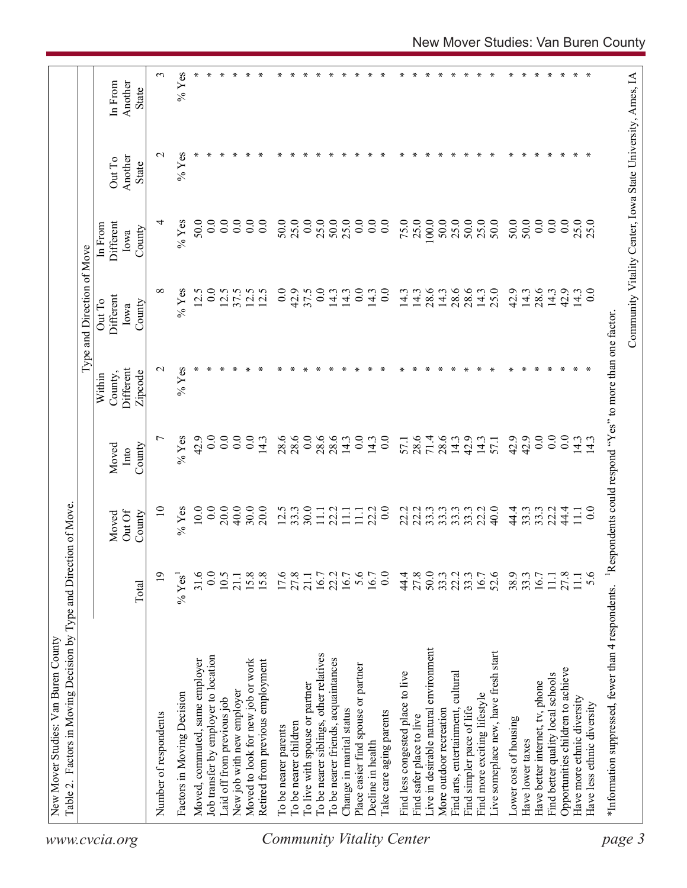| $%$ Yes<br>$\epsilon$<br>∗<br>∗<br>∗<br>∗<br>∗<br>∗<br>∗<br>∗<br>∗<br>∗<br>∗<br>∗<br>$\ast$<br>$\ast$<br>∗<br>∗<br>∗<br>∗<br>∗<br>∗<br>∗<br>∗<br>∗<br>∗<br>∗<br>∗<br>∗<br>In From<br>Another<br><b>State</b><br>$%$ Yes<br>$\sim$<br>$\ast$<br>Another<br>Out To<br>State<br>25.0<br>75.0<br>25.0<br>100.0<br>50.0<br>25.0<br>50.0<br>25.0<br>50.0<br>50.0<br>50.0<br>0.0<br>25.0<br>25.0<br>$\%$ Yes<br>50.0<br>0.0<br>$\overline{0}$ .<br>$\overline{0}$ .<br>$\overline{0}$ .<br>50.0<br>25.0<br>0.0<br>50.0<br>25.0<br>0.0<br>$\overline{0}$ .<br>$\overline{0}$ .<br>0.0<br>0.0<br>₹<br>$\overline{0.0}$<br>Different<br>In From<br>County<br>Iowa<br>$\infty$<br>0.0<br>25.0<br>28.6<br>0.0<br>$%$ Yes<br>12.5<br>0.0<br>12.5<br>37.5<br>12.5<br>0.0<br>42.9<br>37.5<br>0.0<br>0.0<br>14.3<br>28.6<br>28.6<br>28.6<br>42.9<br>14.3<br>42.9<br>12.5<br>14.3<br>14.3<br>14.3<br>14.3<br>14.3<br>14.3<br>14.3<br>14.3<br>Different<br>Out To<br>County<br>Iowa<br>$%$ Yes<br>$\sim$<br>Different<br>County,<br>Zipcode<br>Within<br>0.0<br>$\overline{0.0}$<br>28.6<br>0.0<br>28.6<br>0.0<br>0.0<br>$\overline{ }$<br>$%$ Yes<br>42.9<br>0.0<br>0.0<br>28.6<br>0.0<br>28.6<br>28.6<br>0.0<br>28.6<br>71.4<br>42.9<br>42.9<br>42.9<br>$\overline{0.0}$<br>14.3<br>14.3<br>14.3<br>14.3<br>57.1<br>14.3<br>14.3<br>57.1<br>14.3<br>County<br>Moved<br>Into<br>0.0<br>20.0<br>40.0<br>20.0<br>30.0<br>0.0<br>$%$ Yes<br>10.0<br>30.0<br>12.5<br>33.3<br>22.2<br>22.2<br>22.2<br>33.3<br>33.3<br>33.3<br>33.3<br>40.0<br>44.4<br>22.2<br>44.4<br>$\Xi$<br>22.2<br>33.3<br>33.3<br>$\overline{0.0}$<br>11.1<br>$11.1\,$<br>$\overline{111}$<br>$\Xi$<br>Out Of<br>County<br>Moved<br>$15.8$<br>15.8<br>17.6<br>27.8<br>5.6<br>44.8<br>27.8<br>50.0<br>33.3<br>27.8<br>$\overline{19}$<br>31.6<br>0.0<br>10.5<br>16.7<br>22.2<br>16.7<br>0.0<br>33.3<br>16.7<br>52.6<br>38.9<br>33.3<br>5.6<br>21.1<br>21.1<br>16.7<br>16.7<br>$11.1\,$<br>111<br>$%$ Yes<br>Total<br>Live in desirable natural environment<br>Live someplace new, have fresh start<br>To be nearer siblings, other relatives<br>Tob transfer by employer to location<br>To be nearer friends, acquaintances<br>Moved, commuted, same employer<br>Moved to look for new job or work<br>Retired from previous employment<br>Place easier find spouse or partner<br>Opportunities children to achieve<br>Find less congested place to live<br>Find arts, entertainment, cultural<br>Find better quality local schools<br>Have better internet, tv, phone<br>To live with spouse or partner<br>New job with new employer<br>Factors in Moving Decision<br>Find more exciting lifestyle<br>Have more ethnic diversity<br>Laid off from previous job<br>Have less ethnic diversity<br>More outdoor recreation<br>Find simpler pace of life<br>Change in marital status<br>l'alke care aging parents<br>Number of respondents<br>Find safer place to live<br>Lower cost of housing<br>To be nearer children<br>To be nearer parents<br>Have lower taxes<br>Decline in health | Community Vitality Center, Iowa State University, Ames, IA<br>Respondents could respond "Yes" to more than one factor<br>*Information suppressed, fewer than 4 respondents. | Table 2. Factors in Moving Decision by Type and Direction of Move |  |  | Type and Direction of Move |  |  |
|-------------------------------------------------------------------------------------------------------------------------------------------------------------------------------------------------------------------------------------------------------------------------------------------------------------------------------------------------------------------------------------------------------------------------------------------------------------------------------------------------------------------------------------------------------------------------------------------------------------------------------------------------------------------------------------------------------------------------------------------------------------------------------------------------------------------------------------------------------------------------------------------------------------------------------------------------------------------------------------------------------------------------------------------------------------------------------------------------------------------------------------------------------------------------------------------------------------------------------------------------------------------------------------------------------------------------------------------------------------------------------------------------------------------------------------------------------------------------------------------------------------------------------------------------------------------------------------------------------------------------------------------------------------------------------------------------------------------------------------------------------------------------------------------------------------------------------------------------------------------------------------------------------------------------------------------------------------------------------------------------------------------------------------------------------------------------------------------------------------------------------------------------------------------------------------------------------------------------------------------------------------------------------------------------------------------------------------------------------------------------------------------------------------------------------------------------------------------------------------------------------------------------------------------------------------------------------------------------------------------------------------------------------------------------------------------------------------------------------------------------------------------------------------------------------------------------------------------------------------------------------------------------------------------------------------------------------------------------------------------------------------------------------------|-----------------------------------------------------------------------------------------------------------------------------------------------------------------------------|-------------------------------------------------------------------|--|--|----------------------------|--|--|
|                                                                                                                                                                                                                                                                                                                                                                                                                                                                                                                                                                                                                                                                                                                                                                                                                                                                                                                                                                                                                                                                                                                                                                                                                                                                                                                                                                                                                                                                                                                                                                                                                                                                                                                                                                                                                                                                                                                                                                                                                                                                                                                                                                                                                                                                                                                                                                                                                                                                                                                                                                                                                                                                                                                                                                                                                                                                                                                                                                                                                                     |                                                                                                                                                                             |                                                                   |  |  |                            |  |  |
|                                                                                                                                                                                                                                                                                                                                                                                                                                                                                                                                                                                                                                                                                                                                                                                                                                                                                                                                                                                                                                                                                                                                                                                                                                                                                                                                                                                                                                                                                                                                                                                                                                                                                                                                                                                                                                                                                                                                                                                                                                                                                                                                                                                                                                                                                                                                                                                                                                                                                                                                                                                                                                                                                                                                                                                                                                                                                                                                                                                                                                     |                                                                                                                                                                             |                                                                   |  |  |                            |  |  |
|                                                                                                                                                                                                                                                                                                                                                                                                                                                                                                                                                                                                                                                                                                                                                                                                                                                                                                                                                                                                                                                                                                                                                                                                                                                                                                                                                                                                                                                                                                                                                                                                                                                                                                                                                                                                                                                                                                                                                                                                                                                                                                                                                                                                                                                                                                                                                                                                                                                                                                                                                                                                                                                                                                                                                                                                                                                                                                                                                                                                                                     |                                                                                                                                                                             |                                                                   |  |  |                            |  |  |
|                                                                                                                                                                                                                                                                                                                                                                                                                                                                                                                                                                                                                                                                                                                                                                                                                                                                                                                                                                                                                                                                                                                                                                                                                                                                                                                                                                                                                                                                                                                                                                                                                                                                                                                                                                                                                                                                                                                                                                                                                                                                                                                                                                                                                                                                                                                                                                                                                                                                                                                                                                                                                                                                                                                                                                                                                                                                                                                                                                                                                                     |                                                                                                                                                                             |                                                                   |  |  |                            |  |  |
|                                                                                                                                                                                                                                                                                                                                                                                                                                                                                                                                                                                                                                                                                                                                                                                                                                                                                                                                                                                                                                                                                                                                                                                                                                                                                                                                                                                                                                                                                                                                                                                                                                                                                                                                                                                                                                                                                                                                                                                                                                                                                                                                                                                                                                                                                                                                                                                                                                                                                                                                                                                                                                                                                                                                                                                                                                                                                                                                                                                                                                     |                                                                                                                                                                             |                                                                   |  |  |                            |  |  |
|                                                                                                                                                                                                                                                                                                                                                                                                                                                                                                                                                                                                                                                                                                                                                                                                                                                                                                                                                                                                                                                                                                                                                                                                                                                                                                                                                                                                                                                                                                                                                                                                                                                                                                                                                                                                                                                                                                                                                                                                                                                                                                                                                                                                                                                                                                                                                                                                                                                                                                                                                                                                                                                                                                                                                                                                                                                                                                                                                                                                                                     |                                                                                                                                                                             |                                                                   |  |  |                            |  |  |
|                                                                                                                                                                                                                                                                                                                                                                                                                                                                                                                                                                                                                                                                                                                                                                                                                                                                                                                                                                                                                                                                                                                                                                                                                                                                                                                                                                                                                                                                                                                                                                                                                                                                                                                                                                                                                                                                                                                                                                                                                                                                                                                                                                                                                                                                                                                                                                                                                                                                                                                                                                                                                                                                                                                                                                                                                                                                                                                                                                                                                                     |                                                                                                                                                                             |                                                                   |  |  |                            |  |  |
|                                                                                                                                                                                                                                                                                                                                                                                                                                                                                                                                                                                                                                                                                                                                                                                                                                                                                                                                                                                                                                                                                                                                                                                                                                                                                                                                                                                                                                                                                                                                                                                                                                                                                                                                                                                                                                                                                                                                                                                                                                                                                                                                                                                                                                                                                                                                                                                                                                                                                                                                                                                                                                                                                                                                                                                                                                                                                                                                                                                                                                     |                                                                                                                                                                             |                                                                   |  |  |                            |  |  |
|                                                                                                                                                                                                                                                                                                                                                                                                                                                                                                                                                                                                                                                                                                                                                                                                                                                                                                                                                                                                                                                                                                                                                                                                                                                                                                                                                                                                                                                                                                                                                                                                                                                                                                                                                                                                                                                                                                                                                                                                                                                                                                                                                                                                                                                                                                                                                                                                                                                                                                                                                                                                                                                                                                                                                                                                                                                                                                                                                                                                                                     |                                                                                                                                                                             |                                                                   |  |  |                            |  |  |
|                                                                                                                                                                                                                                                                                                                                                                                                                                                                                                                                                                                                                                                                                                                                                                                                                                                                                                                                                                                                                                                                                                                                                                                                                                                                                                                                                                                                                                                                                                                                                                                                                                                                                                                                                                                                                                                                                                                                                                                                                                                                                                                                                                                                                                                                                                                                                                                                                                                                                                                                                                                                                                                                                                                                                                                                                                                                                                                                                                                                                                     |                                                                                                                                                                             |                                                                   |  |  |                            |  |  |
|                                                                                                                                                                                                                                                                                                                                                                                                                                                                                                                                                                                                                                                                                                                                                                                                                                                                                                                                                                                                                                                                                                                                                                                                                                                                                                                                                                                                                                                                                                                                                                                                                                                                                                                                                                                                                                                                                                                                                                                                                                                                                                                                                                                                                                                                                                                                                                                                                                                                                                                                                                                                                                                                                                                                                                                                                                                                                                                                                                                                                                     |                                                                                                                                                                             |                                                                   |  |  |                            |  |  |
|                                                                                                                                                                                                                                                                                                                                                                                                                                                                                                                                                                                                                                                                                                                                                                                                                                                                                                                                                                                                                                                                                                                                                                                                                                                                                                                                                                                                                                                                                                                                                                                                                                                                                                                                                                                                                                                                                                                                                                                                                                                                                                                                                                                                                                                                                                                                                                                                                                                                                                                                                                                                                                                                                                                                                                                                                                                                                                                                                                                                                                     |                                                                                                                                                                             |                                                                   |  |  |                            |  |  |
|                                                                                                                                                                                                                                                                                                                                                                                                                                                                                                                                                                                                                                                                                                                                                                                                                                                                                                                                                                                                                                                                                                                                                                                                                                                                                                                                                                                                                                                                                                                                                                                                                                                                                                                                                                                                                                                                                                                                                                                                                                                                                                                                                                                                                                                                                                                                                                                                                                                                                                                                                                                                                                                                                                                                                                                                                                                                                                                                                                                                                                     |                                                                                                                                                                             |                                                                   |  |  |                            |  |  |
|                                                                                                                                                                                                                                                                                                                                                                                                                                                                                                                                                                                                                                                                                                                                                                                                                                                                                                                                                                                                                                                                                                                                                                                                                                                                                                                                                                                                                                                                                                                                                                                                                                                                                                                                                                                                                                                                                                                                                                                                                                                                                                                                                                                                                                                                                                                                                                                                                                                                                                                                                                                                                                                                                                                                                                                                                                                                                                                                                                                                                                     |                                                                                                                                                                             |                                                                   |  |  |                            |  |  |
|                                                                                                                                                                                                                                                                                                                                                                                                                                                                                                                                                                                                                                                                                                                                                                                                                                                                                                                                                                                                                                                                                                                                                                                                                                                                                                                                                                                                                                                                                                                                                                                                                                                                                                                                                                                                                                                                                                                                                                                                                                                                                                                                                                                                                                                                                                                                                                                                                                                                                                                                                                                                                                                                                                                                                                                                                                                                                                                                                                                                                                     |                                                                                                                                                                             |                                                                   |  |  |                            |  |  |
|                                                                                                                                                                                                                                                                                                                                                                                                                                                                                                                                                                                                                                                                                                                                                                                                                                                                                                                                                                                                                                                                                                                                                                                                                                                                                                                                                                                                                                                                                                                                                                                                                                                                                                                                                                                                                                                                                                                                                                                                                                                                                                                                                                                                                                                                                                                                                                                                                                                                                                                                                                                                                                                                                                                                                                                                                                                                                                                                                                                                                                     |                                                                                                                                                                             |                                                                   |  |  |                            |  |  |
|                                                                                                                                                                                                                                                                                                                                                                                                                                                                                                                                                                                                                                                                                                                                                                                                                                                                                                                                                                                                                                                                                                                                                                                                                                                                                                                                                                                                                                                                                                                                                                                                                                                                                                                                                                                                                                                                                                                                                                                                                                                                                                                                                                                                                                                                                                                                                                                                                                                                                                                                                                                                                                                                                                                                                                                                                                                                                                                                                                                                                                     |                                                                                                                                                                             |                                                                   |  |  |                            |  |  |
|                                                                                                                                                                                                                                                                                                                                                                                                                                                                                                                                                                                                                                                                                                                                                                                                                                                                                                                                                                                                                                                                                                                                                                                                                                                                                                                                                                                                                                                                                                                                                                                                                                                                                                                                                                                                                                                                                                                                                                                                                                                                                                                                                                                                                                                                                                                                                                                                                                                                                                                                                                                                                                                                                                                                                                                                                                                                                                                                                                                                                                     |                                                                                                                                                                             |                                                                   |  |  |                            |  |  |
|                                                                                                                                                                                                                                                                                                                                                                                                                                                                                                                                                                                                                                                                                                                                                                                                                                                                                                                                                                                                                                                                                                                                                                                                                                                                                                                                                                                                                                                                                                                                                                                                                                                                                                                                                                                                                                                                                                                                                                                                                                                                                                                                                                                                                                                                                                                                                                                                                                                                                                                                                                                                                                                                                                                                                                                                                                                                                                                                                                                                                                     |                                                                                                                                                                             |                                                                   |  |  |                            |  |  |
|                                                                                                                                                                                                                                                                                                                                                                                                                                                                                                                                                                                                                                                                                                                                                                                                                                                                                                                                                                                                                                                                                                                                                                                                                                                                                                                                                                                                                                                                                                                                                                                                                                                                                                                                                                                                                                                                                                                                                                                                                                                                                                                                                                                                                                                                                                                                                                                                                                                                                                                                                                                                                                                                                                                                                                                                                                                                                                                                                                                                                                     |                                                                                                                                                                             |                                                                   |  |  |                            |  |  |
|                                                                                                                                                                                                                                                                                                                                                                                                                                                                                                                                                                                                                                                                                                                                                                                                                                                                                                                                                                                                                                                                                                                                                                                                                                                                                                                                                                                                                                                                                                                                                                                                                                                                                                                                                                                                                                                                                                                                                                                                                                                                                                                                                                                                                                                                                                                                                                                                                                                                                                                                                                                                                                                                                                                                                                                                                                                                                                                                                                                                                                     |                                                                                                                                                                             |                                                                   |  |  |                            |  |  |
|                                                                                                                                                                                                                                                                                                                                                                                                                                                                                                                                                                                                                                                                                                                                                                                                                                                                                                                                                                                                                                                                                                                                                                                                                                                                                                                                                                                                                                                                                                                                                                                                                                                                                                                                                                                                                                                                                                                                                                                                                                                                                                                                                                                                                                                                                                                                                                                                                                                                                                                                                                                                                                                                                                                                                                                                                                                                                                                                                                                                                                     |                                                                                                                                                                             |                                                                   |  |  |                            |  |  |
|                                                                                                                                                                                                                                                                                                                                                                                                                                                                                                                                                                                                                                                                                                                                                                                                                                                                                                                                                                                                                                                                                                                                                                                                                                                                                                                                                                                                                                                                                                                                                                                                                                                                                                                                                                                                                                                                                                                                                                                                                                                                                                                                                                                                                                                                                                                                                                                                                                                                                                                                                                                                                                                                                                                                                                                                                                                                                                                                                                                                                                     |                                                                                                                                                                             |                                                                   |  |  |                            |  |  |
|                                                                                                                                                                                                                                                                                                                                                                                                                                                                                                                                                                                                                                                                                                                                                                                                                                                                                                                                                                                                                                                                                                                                                                                                                                                                                                                                                                                                                                                                                                                                                                                                                                                                                                                                                                                                                                                                                                                                                                                                                                                                                                                                                                                                                                                                                                                                                                                                                                                                                                                                                                                                                                                                                                                                                                                                                                                                                                                                                                                                                                     |                                                                                                                                                                             |                                                                   |  |  |                            |  |  |
|                                                                                                                                                                                                                                                                                                                                                                                                                                                                                                                                                                                                                                                                                                                                                                                                                                                                                                                                                                                                                                                                                                                                                                                                                                                                                                                                                                                                                                                                                                                                                                                                                                                                                                                                                                                                                                                                                                                                                                                                                                                                                                                                                                                                                                                                                                                                                                                                                                                                                                                                                                                                                                                                                                                                                                                                                                                                                                                                                                                                                                     |                                                                                                                                                                             |                                                                   |  |  |                            |  |  |
|                                                                                                                                                                                                                                                                                                                                                                                                                                                                                                                                                                                                                                                                                                                                                                                                                                                                                                                                                                                                                                                                                                                                                                                                                                                                                                                                                                                                                                                                                                                                                                                                                                                                                                                                                                                                                                                                                                                                                                                                                                                                                                                                                                                                                                                                                                                                                                                                                                                                                                                                                                                                                                                                                                                                                                                                                                                                                                                                                                                                                                     |                                                                                                                                                                             |                                                                   |  |  |                            |  |  |
|                                                                                                                                                                                                                                                                                                                                                                                                                                                                                                                                                                                                                                                                                                                                                                                                                                                                                                                                                                                                                                                                                                                                                                                                                                                                                                                                                                                                                                                                                                                                                                                                                                                                                                                                                                                                                                                                                                                                                                                                                                                                                                                                                                                                                                                                                                                                                                                                                                                                                                                                                                                                                                                                                                                                                                                                                                                                                                                                                                                                                                     |                                                                                                                                                                             |                                                                   |  |  |                            |  |  |
|                                                                                                                                                                                                                                                                                                                                                                                                                                                                                                                                                                                                                                                                                                                                                                                                                                                                                                                                                                                                                                                                                                                                                                                                                                                                                                                                                                                                                                                                                                                                                                                                                                                                                                                                                                                                                                                                                                                                                                                                                                                                                                                                                                                                                                                                                                                                                                                                                                                                                                                                                                                                                                                                                                                                                                                                                                                                                                                                                                                                                                     |                                                                                                                                                                             |                                                                   |  |  |                            |  |  |
|                                                                                                                                                                                                                                                                                                                                                                                                                                                                                                                                                                                                                                                                                                                                                                                                                                                                                                                                                                                                                                                                                                                                                                                                                                                                                                                                                                                                                                                                                                                                                                                                                                                                                                                                                                                                                                                                                                                                                                                                                                                                                                                                                                                                                                                                                                                                                                                                                                                                                                                                                                                                                                                                                                                                                                                                                                                                                                                                                                                                                                     |                                                                                                                                                                             |                                                                   |  |  |                            |  |  |
|                                                                                                                                                                                                                                                                                                                                                                                                                                                                                                                                                                                                                                                                                                                                                                                                                                                                                                                                                                                                                                                                                                                                                                                                                                                                                                                                                                                                                                                                                                                                                                                                                                                                                                                                                                                                                                                                                                                                                                                                                                                                                                                                                                                                                                                                                                                                                                                                                                                                                                                                                                                                                                                                                                                                                                                                                                                                                                                                                                                                                                     |                                                                                                                                                                             |                                                                   |  |  |                            |  |  |
|                                                                                                                                                                                                                                                                                                                                                                                                                                                                                                                                                                                                                                                                                                                                                                                                                                                                                                                                                                                                                                                                                                                                                                                                                                                                                                                                                                                                                                                                                                                                                                                                                                                                                                                                                                                                                                                                                                                                                                                                                                                                                                                                                                                                                                                                                                                                                                                                                                                                                                                                                                                                                                                                                                                                                                                                                                                                                                                                                                                                                                     |                                                                                                                                                                             |                                                                   |  |  |                            |  |  |
|                                                                                                                                                                                                                                                                                                                                                                                                                                                                                                                                                                                                                                                                                                                                                                                                                                                                                                                                                                                                                                                                                                                                                                                                                                                                                                                                                                                                                                                                                                                                                                                                                                                                                                                                                                                                                                                                                                                                                                                                                                                                                                                                                                                                                                                                                                                                                                                                                                                                                                                                                                                                                                                                                                                                                                                                                                                                                                                                                                                                                                     |                                                                                                                                                                             |                                                                   |  |  |                            |  |  |
|                                                                                                                                                                                                                                                                                                                                                                                                                                                                                                                                                                                                                                                                                                                                                                                                                                                                                                                                                                                                                                                                                                                                                                                                                                                                                                                                                                                                                                                                                                                                                                                                                                                                                                                                                                                                                                                                                                                                                                                                                                                                                                                                                                                                                                                                                                                                                                                                                                                                                                                                                                                                                                                                                                                                                                                                                                                                                                                                                                                                                                     |                                                                                                                                                                             |                                                                   |  |  |                            |  |  |
|                                                                                                                                                                                                                                                                                                                                                                                                                                                                                                                                                                                                                                                                                                                                                                                                                                                                                                                                                                                                                                                                                                                                                                                                                                                                                                                                                                                                                                                                                                                                                                                                                                                                                                                                                                                                                                                                                                                                                                                                                                                                                                                                                                                                                                                                                                                                                                                                                                                                                                                                                                                                                                                                                                                                                                                                                                                                                                                                                                                                                                     |                                                                                                                                                                             |                                                                   |  |  |                            |  |  |
|                                                                                                                                                                                                                                                                                                                                                                                                                                                                                                                                                                                                                                                                                                                                                                                                                                                                                                                                                                                                                                                                                                                                                                                                                                                                                                                                                                                                                                                                                                                                                                                                                                                                                                                                                                                                                                                                                                                                                                                                                                                                                                                                                                                                                                                                                                                                                                                                                                                                                                                                                                                                                                                                                                                                                                                                                                                                                                                                                                                                                                     |                                                                                                                                                                             |                                                                   |  |  |                            |  |  |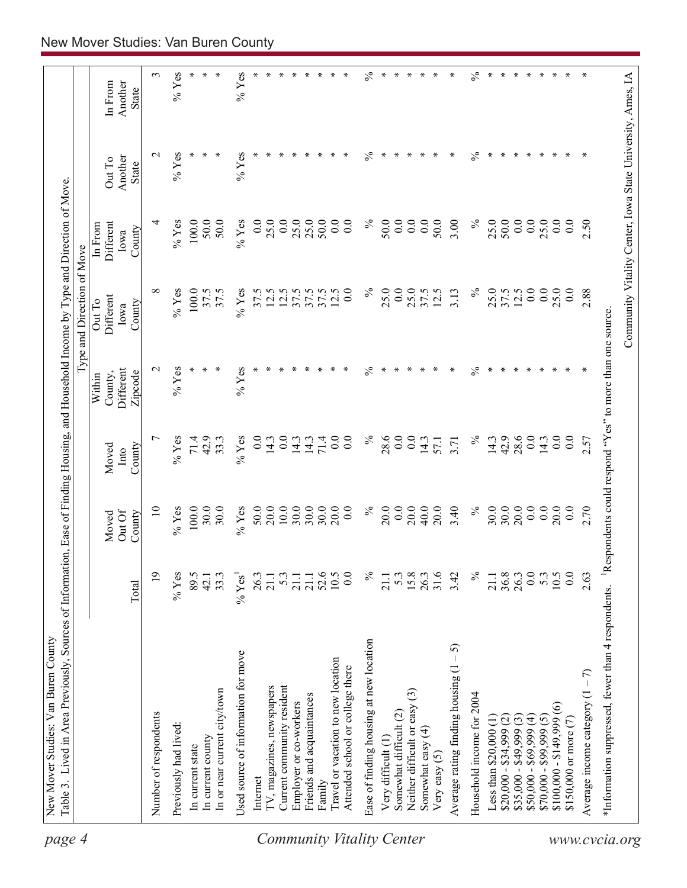| page 4                           | Table 3. Lived in Area Previously, Sources of Information, Ease of Finding Housing, and Household Income by Type and Direction of Move<br>New Mover Studies: Van Buren County |                    |                           |                         |                                                                      |                                                            |                                        |                                   |                                    |
|----------------------------------|-------------------------------------------------------------------------------------------------------------------------------------------------------------------------------|--------------------|---------------------------|-------------------------|----------------------------------------------------------------------|------------------------------------------------------------|----------------------------------------|-----------------------------------|------------------------------------|
|                                  |                                                                                                                                                                               |                    |                           |                         |                                                                      | Type and Direction of Move                                 |                                        |                                   |                                    |
|                                  |                                                                                                                                                                               | Total              | Out Of<br>Moved<br>County | County<br>Moved<br>Into | Different<br>Zipcode<br>County,<br>Within                            | Different<br>Out To<br>County<br>Iowa                      | Different<br>In From<br>County<br>Iowa | Another<br>Out To<br><b>State</b> | Another<br>In From<br><b>State</b> |
|                                  |                                                                                                                                                                               |                    |                           |                         |                                                                      |                                                            |                                        |                                   |                                    |
|                                  | Number of respondents                                                                                                                                                         | $\mathbf{5}$       | $\overline{10}$           |                         | $\mathbf{\sim}$                                                      | ∞                                                          | 4                                      | $\mathrel{\sim}$                  | 3                                  |
|                                  | Previously had lived:                                                                                                                                                         | $%$ Yes            | $%$ Yes                   | $%$ Yes                 | $%$ Yes                                                              | $%$ Yes                                                    | $%$ Yes                                | $%$ Yes                           | $%$ Yes                            |
|                                  | In current state                                                                                                                                                              | 89.5               | $100.0$                   | 71.4                    | ∗                                                                    | 100.0                                                      | 100.0                                  |                                   |                                    |
|                                  | In current county                                                                                                                                                             | 42.1               | 30.0                      | 42.9                    | ∗                                                                    | 37.5                                                       | 50.0                                   |                                   |                                    |
|                                  | In or near current city/town                                                                                                                                                  | 33.3               | 30.0                      | 33.3                    | ∗                                                                    | 37.5                                                       | 50.0                                   |                                   |                                    |
|                                  | Used source of information for move                                                                                                                                           | % Yes <sup>1</sup> | $%$ Yes                   | $%$ Yes                 | $%$ Yes                                                              | $%$ Yes                                                    | $%$ Yes                                | $%$ Yes                           | $%$ Yes                            |
|                                  | Internet                                                                                                                                                                      | 26.3               | 50.0                      | 0.0                     |                                                                      | 37.5                                                       | 0.0                                    |                                   |                                    |
|                                  | IV, magazines, newspapers                                                                                                                                                     | 21.1               | 20.0                      | 14.3                    |                                                                      | 12.5                                                       | 25.0                                   |                                   |                                    |
|                                  | Current community resident                                                                                                                                                    | $5.\overline{3}$   | 10.0                      | 0.0                     |                                                                      | 12.5                                                       | 0.0                                    |                                   | ∗                                  |
|                                  | Employer or co-workers                                                                                                                                                        | 21.1               | 30.0                      | 14.3                    |                                                                      | 37.5                                                       | 25.0                                   |                                   | ∗                                  |
|                                  | Friends and acquaintances                                                                                                                                                     | 21.1               | 30.0                      | 14.3                    |                                                                      | 37.5                                                       | 25.0                                   | ∗                                 | ∗                                  |
|                                  | Family                                                                                                                                                                        | 52.6               | 30.0                      | 71.4                    |                                                                      |                                                            | 50.0                                   |                                   |                                    |
|                                  | Travel or vacation to new location                                                                                                                                            | 10.5               | 20.0                      | 0.0                     |                                                                      | 12.5                                                       | 0.0                                    |                                   |                                    |
|                                  | Attended school or college there                                                                                                                                              | $\overline{0.0}$   | 0.0                       | 0.0                     |                                                                      | 0.0                                                        | 0.0                                    |                                   | ∗                                  |
| <b>Community Vitality Center</b> | Ease of finding housing at new location                                                                                                                                       | $\%$               | $\%$                      | $\%$                    | $\%$                                                                 | $\%$                                                       | $\%$                                   | $\%$                              | $\%$                               |
|                                  | Very difficult (1)                                                                                                                                                            | 21.1               | 20.0                      | 28.6                    | ∗                                                                    | 25.0                                                       | 50.0                                   | ∗                                 | ∗                                  |
|                                  | Somewhat difficult (2)                                                                                                                                                        | 5.3                | 0.0                       | 0.0                     |                                                                      | 0.0                                                        | 0.0                                    |                                   | ∗                                  |
|                                  | Neither difficult or easy (3)                                                                                                                                                 | 15.8               | 20.0                      | 0.0                     | ∗                                                                    | 25.0                                                       | 0.0                                    | ∗                                 | ∗                                  |
|                                  | Somewhat easy $(4)$                                                                                                                                                           | 26.3               | 40.0                      | 14.3                    | ∗                                                                    | 37.5                                                       | 0.0                                    | ∗                                 | ∗                                  |
|                                  | Very easy $(5)$                                                                                                                                                               | 31.6               | 20.0                      | 57.1                    | ∗                                                                    | 12.5                                                       | 50.0                                   | ∗                                 | ∗                                  |
|                                  | $-5$<br>Average rating finding housing (1                                                                                                                                     | 3.42               | 3.40                      | 3.71                    | ∗                                                                    | 3.13                                                       | 3.00                                   | ∗                                 | ∗                                  |
|                                  | Household income for 2004                                                                                                                                                     | $\%$               | $\%$                      | $\%$                    | $\%$                                                                 | $\%$                                                       | $\%$                                   | $\%$                              | $\frac{5}{6}$                      |
|                                  | Less than $$20,000$ (1)                                                                                                                                                       | 21.1               | 30.0                      | 14.3                    | ∗                                                                    | 25.0                                                       | 25.0                                   | ∗                                 | ∗                                  |
|                                  | $$20,000 - $34,999 (2)$                                                                                                                                                       | 36.8               | 30.0                      | 42.9                    | ∗                                                                    | 37.5                                                       | 50.0                                   | ∗                                 | ∗                                  |
|                                  | $$35,000 - $49,999(3)$                                                                                                                                                        | 26.3               | 20.0                      | 28.6                    | ∗                                                                    | 12.5                                                       | 0.0                                    | ∗                                 | ∗                                  |
|                                  | $$50,000 - $69,999 (4)$                                                                                                                                                       | 0.0                | 0.0                       | 0.0                     | ∗                                                                    | 0.0                                                        | 0.0                                    | ∗                                 | ∗                                  |
|                                  | $$70,000 - $99,999 (5)$                                                                                                                                                       | 5.3                | $0.0\,$                   | 14.3                    | ∗                                                                    | 0.0                                                        | 25.0                                   | $\ast$                            | ∗                                  |
|                                  | $$100,000 - $149,999(6)$                                                                                                                                                      | 10.5               | 20.0                      | 0.0                     | ∗                                                                    | 25.0                                                       | 0.0                                    | $\ast$                            | $\ast$                             |
|                                  | \$150,000 or more (7)                                                                                                                                                         | 0.0                | 0.0                       | 0.0                     | ∗                                                                    | 0.0                                                        | 0.0                                    | ⋇                                 | ∗                                  |
|                                  | Average income category $(1 - 7)$                                                                                                                                             | 2.63               | 2.70                      | 2.57                    |                                                                      | 2.88                                                       | 2.50                                   | ∗                                 | ∗                                  |
|                                  | *Information suppressed, fewer than 4 respondents.                                                                                                                            |                    |                           |                         | <sup>1</sup> Respondents could respond "Yes" to more than one source |                                                            |                                        |                                   |                                    |
| www.cvcia.org                    |                                                                                                                                                                               |                    |                           |                         |                                                                      | Community Vitality Center, Iowa State University, Ames, IA |                                        |                                   |                                    |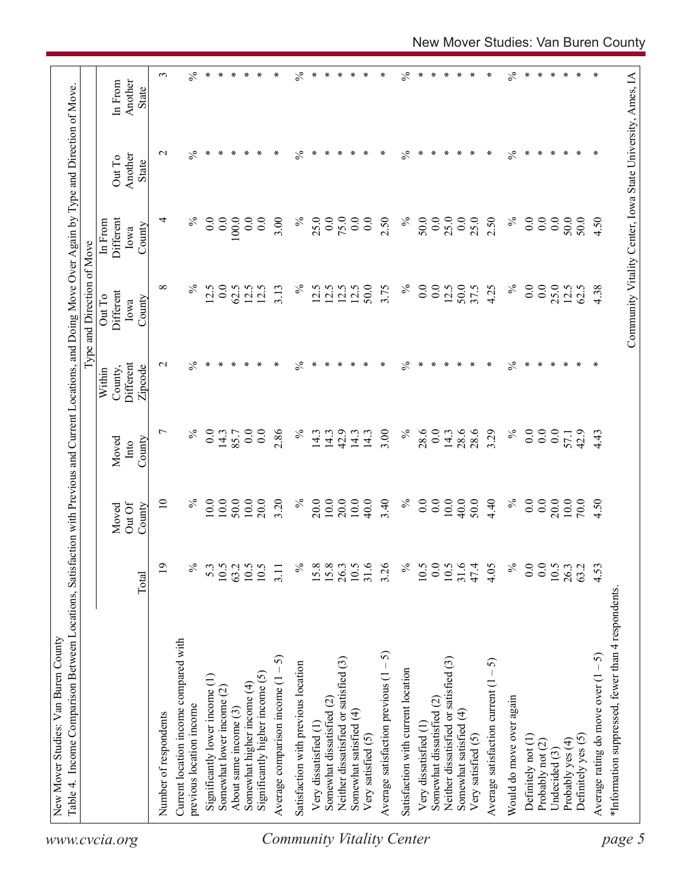|                           | Table 4. Income Comparison Between Locations, Satisfaction with Previous and Current Locations, and Doing Move Over Again by Type and Direction of Move. |                |                           |                |                                 | Type and Direction of Move                                 |                      |                  |                         |
|---------------------------|----------------------------------------------------------------------------------------------------------------------------------------------------------|----------------|---------------------------|----------------|---------------------------------|------------------------------------------------------------|----------------------|------------------|-------------------------|
| www.cvcia.org             |                                                                                                                                                          |                |                           | Moved          | Within                          | Different<br>Out To                                        | Different<br>In From | Out To           | In From                 |
|                           |                                                                                                                                                          | Total          | Out Of<br>Moved<br>County | County<br>Into | Different<br>County,<br>Zipcode | County<br>Iowa                                             | County<br>Iowa       | Another<br>State | Another<br><b>State</b> |
|                           | Number of respondents                                                                                                                                    | $\overline{0}$ | $\supseteq$               | $\overline{ }$ | $\sim$                          | $\infty$                                                   | 4                    | $\sim$           | 3                       |
|                           | Current location income compared with                                                                                                                    |                |                           |                |                                 |                                                            |                      |                  |                         |
|                           | previous location income                                                                                                                                 | $\%$           | $\%$                      | $\%$           | $\%$                            | $\%$                                                       | ℅                    | $\%$             | $\%$                    |
|                           | Significantly lower income (1)                                                                                                                           | 5.3            | 10.0                      | 0.0            | ∗                               | 12.5                                                       | 0.0                  | $\ast$           | $\ast$                  |
|                           | Somewhat lower income (2)                                                                                                                                | 10.5           | 10.0                      | 14.3           | ∗                               | 0.0                                                        | 0.0                  | ∗                | ∗                       |
|                           | About same income (3)                                                                                                                                    | 63.2           | 50.0                      | 85.7           |                                 | 62.5                                                       | 100.0                | ∗                | ∗                       |
|                           | Somewhat higher income (4)                                                                                                                               | 10.5           | $10.0$                    | 0.0            |                                 | 12.5                                                       | 0.0                  | ∗                | $\ast$                  |
|                           | Significantly higher income (5)                                                                                                                          | 10.5           | 20.0                      | 0.0            |                                 | 12.5                                                       | 0.0                  | ∗                | $\ast$                  |
|                           | Average comparison income $(1 - 5)$                                                                                                                      | 3.11           | 3.20                      | 2.86           | ∗                               | 3.13                                                       | 3.00                 | ∗                | ∗                       |
|                           | Satisfaction with previous location                                                                                                                      | $\%$           | $\%$                      | $\%$           | $\%$                            | $\%$                                                       | $\%$                 | $\%$             | $\%$                    |
|                           | Very dissatisfied (1)                                                                                                                                    | 15.8           | 20.0                      | 14.3           | ∗                               | 12.5                                                       | 25.0                 | ∗                | ∗                       |
|                           | Somewhat dissatisfied (2)                                                                                                                                | 15.8           | 10.0                      | 14.3           |                                 | 12.5                                                       | 0.0                  | ∗                | $\ast$                  |
|                           | Neither dissatisfied or satisfied (3)                                                                                                                    | 26.3           | 20.0                      | 42.9           | ∗                               | 12.5                                                       | 75.0                 | ∗                | ∗                       |
|                           | Somewhat satisfied (4)                                                                                                                                   | 10.5           | 10.0                      | 14.3           |                                 | 12.5                                                       | 0.0                  | ∗                | $\ast$                  |
|                           | Very satisfied (5)                                                                                                                                       | 31.6           | 40.0                      | 14.3           | ∗                               | 50.0                                                       | 0.0                  | ∗                | $\ast$                  |
| Community Vitality Center | Average satisfaction previous $(1 - 5)$                                                                                                                  | 3.26           | 3.40                      | 3.00           | ∗                               | 3.75                                                       | 2.50                 | ∗                | $\ast$                  |
|                           | Satisfaction with current location                                                                                                                       | $\%$           | $\%$                      | $\%$           | $\frac{5}{6}$                   | $\%$                                                       | $\%$                 | $\frac{5}{6}$    | $\%$                    |
|                           | Very dissatisfied (1                                                                                                                                     | 10.5           | 0.0                       | 28.6           | ∗                               | 0.0                                                        | 50.0                 | ∗                | $\ast$                  |
|                           | Somewhat dissatisfied (2)                                                                                                                                | 0.0            | 0.0                       | 0.0            | ∗                               | 0.0                                                        | 0.0                  | ∗                | ∗                       |
|                           | Neither dissatisfied or satisfied (3)                                                                                                                    | 10.5           | 10.0                      | 14.3           | ∗                               | 12.5                                                       | 25.0                 | ∗                | $\ast$                  |
|                           | Somewhat satisfied (4)<br>Very satisfied (5)                                                                                                             | 31.6<br>47.4   | 40.0<br>50.0              | 28.6<br>28.6   | ∗                               | 50.0<br>37.5                                               | 0.0<br>25.0          | ∗<br>∗           | ∗<br>$\ast$             |
|                           | Average satisfaction current $(1 - 5)$                                                                                                                   | 4.05           | 4.40                      | 3.29           | ∗                               | 4.25                                                       | 2.50                 | ∗                | ∗                       |
|                           | Would do move over again                                                                                                                                 | $\%$           | $\%$                      | $\%$           | $\%$                            | $\%$                                                       | $\%$                 | $\%$             | $\%$                    |
|                           | Definitely not (1)                                                                                                                                       | 0.0            | 0.0                       | 0.0            | ∗                               | 0.0                                                        | 0.0                  | $\ast$           | $\ast$                  |
|                           | Probably not (2)                                                                                                                                         | 0.0            | 0.0                       | 0.0            | ∗                               | 0.0                                                        | 0.0                  | $\ast$           | ∗                       |
|                           | Undecided (3)                                                                                                                                            | $10.5$         | 20.0                      | 0.0            |                                 | 25.0                                                       | 0.0                  | ∗                | $\ast$                  |
|                           | Probably yes (4)                                                                                                                                         | 26.3           | $10.0$                    | 57.1           | ∗                               | 12.5                                                       | 50.0                 | $\ast$           | $\ast$                  |
|                           | Definitely yes (5)                                                                                                                                       | 63.2           | 70.0                      | 42.9           | ∗                               | 62.5                                                       | 50.0                 | ∗                | ∗                       |
|                           | Average rating do move over $(1 - 5)$                                                                                                                    | 4.53           | 4.50                      | 4.43           |                                 | 4.38                                                       | 4.50                 | ∗                | ∗                       |
| page 5                    | *Information suppressed, fewer than 4 respondents                                                                                                        |                |                           |                |                                 | Community Vitality Center, Iowa State University, Ames, IA |                      |                  |                         |
|                           |                                                                                                                                                          |                |                           |                |                                 |                                                            |                      |                  |                         |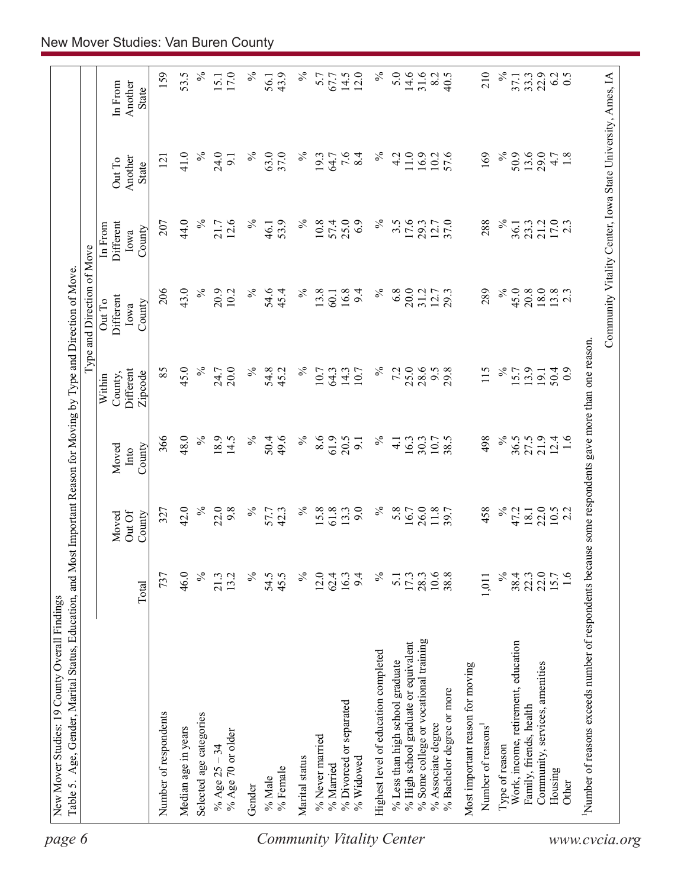| 159<br>53.5<br>$\%$<br>$\%$<br>5.0<br>14.6<br>31.6<br>$17.0\,$<br>$\%$<br>43.9<br>$\%$<br>14.5<br>12.0<br>40.5<br>210<br>℅<br>33.3<br>6.2<br>0.5<br>5.7<br>67.7<br>8.2<br>56.1<br>37.1<br>15.1<br>In From<br>Another<br>State<br>$\%$<br>$\%$<br>$7.\overline{6}$<br>8.4<br>$\%$<br>$11.0$ $\,$<br>$\%$<br>50.9<br>41.0<br>24.0<br>63.0<br>37.0<br>4.2<br>16.9<br>57.6<br>169<br>13.6<br>29.0<br>$4.7$<br>$1.8$<br>$\%$<br>19.3<br>64.7<br>10.2<br>121<br>9.1<br>Another<br>Out To<br><b>State</b><br>$\%$<br>12.6<br>$\%$<br>$17.0$<br>2.3<br>44.0<br>$\%$<br>53.9<br>$\%$<br>57.4<br>25.0<br>6.9<br>$\%$<br>$3.\overline{5}$<br>17.6<br>37.0<br>288<br>23.3<br>21.2<br>207<br>21.7<br>10.8<br>29.3<br>36.1<br><b>Different</b><br>46.1<br>12.7<br>In From<br>County<br>Iowa<br>$\%$<br>$\%$<br>206<br>43.0<br>$\%$<br>45.0<br>20.9<br>$\%$<br>54.6<br>13.8<br>16.8<br>$\%$<br>6.8<br>20.0<br>289<br>$\frac{20.8}{18.0}$<br>$13.8$<br>2.3<br>10.2<br>45.4<br>9.4<br>31.2<br>12.7<br>60.1<br>Different<br>Out To<br>County<br>Iowa<br>$\%$<br>45.0<br>$\%$<br>$\%$<br>25.0<br>$\%$<br>85<br>7.2<br>28.6<br>115<br>20.0<br>$\%$<br>54.8<br>45.2<br>9.5<br>29.8<br>13.9<br><b>Different</b><br>24.7<br>10.7<br>64.3<br>14.3<br>10.7<br>15.7<br>50.4<br>19.1<br>Zipcode<br>County,<br>Within<br>48.0<br>$\%$<br>61.9<br>$\%$<br>366<br>18.9<br>49.6<br>$\%$<br>8.6<br>20.5<br>$\%$<br>498<br>21.9<br>14.5<br>$\%$<br>50.4<br>38.5<br>36.5<br>27.5<br>12.4<br>1.6<br>16.3<br>30.3<br>10.7<br>9.1<br>$\overline{4}$ .<br>County<br>Moved<br>Into<br>$\%$<br>$\%$<br>$\%$<br>$\%$<br>42.0<br>22.0<br>$\%$<br>$15.8$<br>61.8<br>9.0<br>5.8<br>26.0<br>458<br>22.0<br>9.8<br>57.7<br>13.3<br>11.8<br>47.2<br>327<br>42.3<br>16.7<br>18.1<br>$10.5$<br>2.2<br>Out Of<br>County<br>Moved<br>$\frac{5}{6}$<br>$\%$<br>$\approx$<br>$22.3$<br>$22.0$<br>46.0<br>$\%$<br>54.5<br>$\%$<br>$10.6\,$<br>38.4<br>15.7<br>1.6<br>737<br>13.2<br>45.5<br>$12.0$<br>62.4<br>16.3<br>9.4<br>$17.3$<br>28.3<br>38.8<br>21.3<br>5.1<br>1,011<br>Total<br>% Some college or vocational training<br>% High school graduate or equivalent<br>Work, income, retirement, education<br>Highest level of education completed<br>% Less than high school graduate<br>Community, services, amenities<br>Most important reason for moving<br>% Bachelor degree or more<br>% Divorced or separated<br>Family, friends, health<br>Number of respondents<br>Selected age categories<br>% Associate degree<br>Number of reasons <sup>1</sup><br>Median age in years<br>% Age 70 or older<br>% Never married<br>Type of reason<br>% Age $25 - 34$<br>Marital status<br>% Widowed<br>% Married<br>% Female<br>Housing<br>% Male<br>Other<br>Gender | Community Vitality Center, Iowa State University, Ames, IA<br>Number of reasons exceeds number of respondents because some respondents gave more than one reason. |  |  | Type and Direction of Move |  |  |
|-------------------------------------------------------------------------------------------------------------------------------------------------------------------------------------------------------------------------------------------------------------------------------------------------------------------------------------------------------------------------------------------------------------------------------------------------------------------------------------------------------------------------------------------------------------------------------------------------------------------------------------------------------------------------------------------------------------------------------------------------------------------------------------------------------------------------------------------------------------------------------------------------------------------------------------------------------------------------------------------------------------------------------------------------------------------------------------------------------------------------------------------------------------------------------------------------------------------------------------------------------------------------------------------------------------------------------------------------------------------------------------------------------------------------------------------------------------------------------------------------------------------------------------------------------------------------------------------------------------------------------------------------------------------------------------------------------------------------------------------------------------------------------------------------------------------------------------------------------------------------------------------------------------------------------------------------------------------------------------------------------------------------------------------------------------------------------------------------------------------------------------------------------------------------------------------------------------------------------------------------------------------------------------------------------------------------------------------------------------------------------------------------------------------------------------------------------------------------------------------------------------------------------------------------------------------------------------------------------------------------------------------------------------------------------------------------------------|-------------------------------------------------------------------------------------------------------------------------------------------------------------------|--|--|----------------------------|--|--|
|                                                                                                                                                                                                                                                                                                                                                                                                                                                                                                                                                                                                                                                                                                                                                                                                                                                                                                                                                                                                                                                                                                                                                                                                                                                                                                                                                                                                                                                                                                                                                                                                                                                                                                                                                                                                                                                                                                                                                                                                                                                                                                                                                                                                                                                                                                                                                                                                                                                                                                                                                                                                                                                                                                             |                                                                                                                                                                   |  |  |                            |  |  |
|                                                                                                                                                                                                                                                                                                                                                                                                                                                                                                                                                                                                                                                                                                                                                                                                                                                                                                                                                                                                                                                                                                                                                                                                                                                                                                                                                                                                                                                                                                                                                                                                                                                                                                                                                                                                                                                                                                                                                                                                                                                                                                                                                                                                                                                                                                                                                                                                                                                                                                                                                                                                                                                                                                             |                                                                                                                                                                   |  |  |                            |  |  |
|                                                                                                                                                                                                                                                                                                                                                                                                                                                                                                                                                                                                                                                                                                                                                                                                                                                                                                                                                                                                                                                                                                                                                                                                                                                                                                                                                                                                                                                                                                                                                                                                                                                                                                                                                                                                                                                                                                                                                                                                                                                                                                                                                                                                                                                                                                                                                                                                                                                                                                                                                                                                                                                                                                             |                                                                                                                                                                   |  |  |                            |  |  |
|                                                                                                                                                                                                                                                                                                                                                                                                                                                                                                                                                                                                                                                                                                                                                                                                                                                                                                                                                                                                                                                                                                                                                                                                                                                                                                                                                                                                                                                                                                                                                                                                                                                                                                                                                                                                                                                                                                                                                                                                                                                                                                                                                                                                                                                                                                                                                                                                                                                                                                                                                                                                                                                                                                             |                                                                                                                                                                   |  |  |                            |  |  |
|                                                                                                                                                                                                                                                                                                                                                                                                                                                                                                                                                                                                                                                                                                                                                                                                                                                                                                                                                                                                                                                                                                                                                                                                                                                                                                                                                                                                                                                                                                                                                                                                                                                                                                                                                                                                                                                                                                                                                                                                                                                                                                                                                                                                                                                                                                                                                                                                                                                                                                                                                                                                                                                                                                             |                                                                                                                                                                   |  |  |                            |  |  |
|                                                                                                                                                                                                                                                                                                                                                                                                                                                                                                                                                                                                                                                                                                                                                                                                                                                                                                                                                                                                                                                                                                                                                                                                                                                                                                                                                                                                                                                                                                                                                                                                                                                                                                                                                                                                                                                                                                                                                                                                                                                                                                                                                                                                                                                                                                                                                                                                                                                                                                                                                                                                                                                                                                             |                                                                                                                                                                   |  |  |                            |  |  |
|                                                                                                                                                                                                                                                                                                                                                                                                                                                                                                                                                                                                                                                                                                                                                                                                                                                                                                                                                                                                                                                                                                                                                                                                                                                                                                                                                                                                                                                                                                                                                                                                                                                                                                                                                                                                                                                                                                                                                                                                                                                                                                                                                                                                                                                                                                                                                                                                                                                                                                                                                                                                                                                                                                             |                                                                                                                                                                   |  |  |                            |  |  |
|                                                                                                                                                                                                                                                                                                                                                                                                                                                                                                                                                                                                                                                                                                                                                                                                                                                                                                                                                                                                                                                                                                                                                                                                                                                                                                                                                                                                                                                                                                                                                                                                                                                                                                                                                                                                                                                                                                                                                                                                                                                                                                                                                                                                                                                                                                                                                                                                                                                                                                                                                                                                                                                                                                             |                                                                                                                                                                   |  |  |                            |  |  |
|                                                                                                                                                                                                                                                                                                                                                                                                                                                                                                                                                                                                                                                                                                                                                                                                                                                                                                                                                                                                                                                                                                                                                                                                                                                                                                                                                                                                                                                                                                                                                                                                                                                                                                                                                                                                                                                                                                                                                                                                                                                                                                                                                                                                                                                                                                                                                                                                                                                                                                                                                                                                                                                                                                             |                                                                                                                                                                   |  |  |                            |  |  |
|                                                                                                                                                                                                                                                                                                                                                                                                                                                                                                                                                                                                                                                                                                                                                                                                                                                                                                                                                                                                                                                                                                                                                                                                                                                                                                                                                                                                                                                                                                                                                                                                                                                                                                                                                                                                                                                                                                                                                                                                                                                                                                                                                                                                                                                                                                                                                                                                                                                                                                                                                                                                                                                                                                             |                                                                                                                                                                   |  |  |                            |  |  |
|                                                                                                                                                                                                                                                                                                                                                                                                                                                                                                                                                                                                                                                                                                                                                                                                                                                                                                                                                                                                                                                                                                                                                                                                                                                                                                                                                                                                                                                                                                                                                                                                                                                                                                                                                                                                                                                                                                                                                                                                                                                                                                                                                                                                                                                                                                                                                                                                                                                                                                                                                                                                                                                                                                             |                                                                                                                                                                   |  |  |                            |  |  |
|                                                                                                                                                                                                                                                                                                                                                                                                                                                                                                                                                                                                                                                                                                                                                                                                                                                                                                                                                                                                                                                                                                                                                                                                                                                                                                                                                                                                                                                                                                                                                                                                                                                                                                                                                                                                                                                                                                                                                                                                                                                                                                                                                                                                                                                                                                                                                                                                                                                                                                                                                                                                                                                                                                             |                                                                                                                                                                   |  |  |                            |  |  |
|                                                                                                                                                                                                                                                                                                                                                                                                                                                                                                                                                                                                                                                                                                                                                                                                                                                                                                                                                                                                                                                                                                                                                                                                                                                                                                                                                                                                                                                                                                                                                                                                                                                                                                                                                                                                                                                                                                                                                                                                                                                                                                                                                                                                                                                                                                                                                                                                                                                                                                                                                                                                                                                                                                             |                                                                                                                                                                   |  |  |                            |  |  |
|                                                                                                                                                                                                                                                                                                                                                                                                                                                                                                                                                                                                                                                                                                                                                                                                                                                                                                                                                                                                                                                                                                                                                                                                                                                                                                                                                                                                                                                                                                                                                                                                                                                                                                                                                                                                                                                                                                                                                                                                                                                                                                                                                                                                                                                                                                                                                                                                                                                                                                                                                                                                                                                                                                             |                                                                                                                                                                   |  |  |                            |  |  |
|                                                                                                                                                                                                                                                                                                                                                                                                                                                                                                                                                                                                                                                                                                                                                                                                                                                                                                                                                                                                                                                                                                                                                                                                                                                                                                                                                                                                                                                                                                                                                                                                                                                                                                                                                                                                                                                                                                                                                                                                                                                                                                                                                                                                                                                                                                                                                                                                                                                                                                                                                                                                                                                                                                             |                                                                                                                                                                   |  |  |                            |  |  |
|                                                                                                                                                                                                                                                                                                                                                                                                                                                                                                                                                                                                                                                                                                                                                                                                                                                                                                                                                                                                                                                                                                                                                                                                                                                                                                                                                                                                                                                                                                                                                                                                                                                                                                                                                                                                                                                                                                                                                                                                                                                                                                                                                                                                                                                                                                                                                                                                                                                                                                                                                                                                                                                                                                             |                                                                                                                                                                   |  |  |                            |  |  |
|                                                                                                                                                                                                                                                                                                                                                                                                                                                                                                                                                                                                                                                                                                                                                                                                                                                                                                                                                                                                                                                                                                                                                                                                                                                                                                                                                                                                                                                                                                                                                                                                                                                                                                                                                                                                                                                                                                                                                                                                                                                                                                                                                                                                                                                                                                                                                                                                                                                                                                                                                                                                                                                                                                             |                                                                                                                                                                   |  |  |                            |  |  |
|                                                                                                                                                                                                                                                                                                                                                                                                                                                                                                                                                                                                                                                                                                                                                                                                                                                                                                                                                                                                                                                                                                                                                                                                                                                                                                                                                                                                                                                                                                                                                                                                                                                                                                                                                                                                                                                                                                                                                                                                                                                                                                                                                                                                                                                                                                                                                                                                                                                                                                                                                                                                                                                                                                             |                                                                                                                                                                   |  |  |                            |  |  |
|                                                                                                                                                                                                                                                                                                                                                                                                                                                                                                                                                                                                                                                                                                                                                                                                                                                                                                                                                                                                                                                                                                                                                                                                                                                                                                                                                                                                                                                                                                                                                                                                                                                                                                                                                                                                                                                                                                                                                                                                                                                                                                                                                                                                                                                                                                                                                                                                                                                                                                                                                                                                                                                                                                             |                                                                                                                                                                   |  |  |                            |  |  |
|                                                                                                                                                                                                                                                                                                                                                                                                                                                                                                                                                                                                                                                                                                                                                                                                                                                                                                                                                                                                                                                                                                                                                                                                                                                                                                                                                                                                                                                                                                                                                                                                                                                                                                                                                                                                                                                                                                                                                                                                                                                                                                                                                                                                                                                                                                                                                                                                                                                                                                                                                                                                                                                                                                             |                                                                                                                                                                   |  |  |                            |  |  |
|                                                                                                                                                                                                                                                                                                                                                                                                                                                                                                                                                                                                                                                                                                                                                                                                                                                                                                                                                                                                                                                                                                                                                                                                                                                                                                                                                                                                                                                                                                                                                                                                                                                                                                                                                                                                                                                                                                                                                                                                                                                                                                                                                                                                                                                                                                                                                                                                                                                                                                                                                                                                                                                                                                             |                                                                                                                                                                   |  |  |                            |  |  |
|                                                                                                                                                                                                                                                                                                                                                                                                                                                                                                                                                                                                                                                                                                                                                                                                                                                                                                                                                                                                                                                                                                                                                                                                                                                                                                                                                                                                                                                                                                                                                                                                                                                                                                                                                                                                                                                                                                                                                                                                                                                                                                                                                                                                                                                                                                                                                                                                                                                                                                                                                                                                                                                                                                             |                                                                                                                                                                   |  |  |                            |  |  |
|                                                                                                                                                                                                                                                                                                                                                                                                                                                                                                                                                                                                                                                                                                                                                                                                                                                                                                                                                                                                                                                                                                                                                                                                                                                                                                                                                                                                                                                                                                                                                                                                                                                                                                                                                                                                                                                                                                                                                                                                                                                                                                                                                                                                                                                                                                                                                                                                                                                                                                                                                                                                                                                                                                             |                                                                                                                                                                   |  |  |                            |  |  |
|                                                                                                                                                                                                                                                                                                                                                                                                                                                                                                                                                                                                                                                                                                                                                                                                                                                                                                                                                                                                                                                                                                                                                                                                                                                                                                                                                                                                                                                                                                                                                                                                                                                                                                                                                                                                                                                                                                                                                                                                                                                                                                                                                                                                                                                                                                                                                                                                                                                                                                                                                                                                                                                                                                             |                                                                                                                                                                   |  |  |                            |  |  |
|                                                                                                                                                                                                                                                                                                                                                                                                                                                                                                                                                                                                                                                                                                                                                                                                                                                                                                                                                                                                                                                                                                                                                                                                                                                                                                                                                                                                                                                                                                                                                                                                                                                                                                                                                                                                                                                                                                                                                                                                                                                                                                                                                                                                                                                                                                                                                                                                                                                                                                                                                                                                                                                                                                             |                                                                                                                                                                   |  |  |                            |  |  |
|                                                                                                                                                                                                                                                                                                                                                                                                                                                                                                                                                                                                                                                                                                                                                                                                                                                                                                                                                                                                                                                                                                                                                                                                                                                                                                                                                                                                                                                                                                                                                                                                                                                                                                                                                                                                                                                                                                                                                                                                                                                                                                                                                                                                                                                                                                                                                                                                                                                                                                                                                                                                                                                                                                             |                                                                                                                                                                   |  |  |                            |  |  |
|                                                                                                                                                                                                                                                                                                                                                                                                                                                                                                                                                                                                                                                                                                                                                                                                                                                                                                                                                                                                                                                                                                                                                                                                                                                                                                                                                                                                                                                                                                                                                                                                                                                                                                                                                                                                                                                                                                                                                                                                                                                                                                                                                                                                                                                                                                                                                                                                                                                                                                                                                                                                                                                                                                             |                                                                                                                                                                   |  |  |                            |  |  |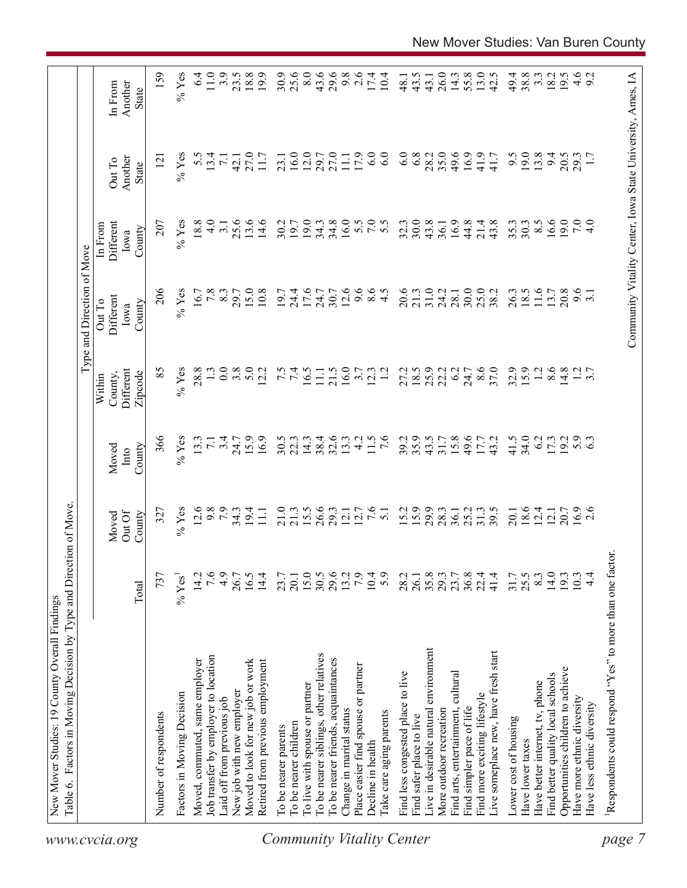| www.cvcia.org                    | Table 6. Factors in Moving Decision by Type and Direction of Move. |                  |                           |                         | Within                          | Type and Direction of Move<br>Out To | In From                     |                                                            |                                    |
|----------------------------------|--------------------------------------------------------------------|------------------|---------------------------|-------------------------|---------------------------------|--------------------------------------|-----------------------------|------------------------------------------------------------|------------------------------------|
|                                  |                                                                    | Total            | Out Of<br>County<br>Moved | County<br>Moved<br>Into | Different<br>Zipcode<br>County, | Different<br>County<br>Iowa          | Different<br>County<br>Iowa | Another<br>Out To<br>State                                 | Another<br>In From<br><b>State</b> |
|                                  | Number of respondents                                              | 737              | 327                       | 366                     | 85                              | 206                                  | 207                         | $\overline{121}$                                           | 159                                |
|                                  | Factors in Moving Decision                                         | $%$ Yes          | $%$ Yes                   | $%$ Yes                 | $%$ Yes                         | $%$ Yes                              | $%$ Yes                     | $%$ Yes                                                    | $%$ Yes                            |
|                                  | Moved, commuted, same employer                                     | 14.2             | 12.6                      | 13.3                    | 28.8                            | 16.7                                 | 18.8                        | 5.5                                                        | $6\dot{4}$                         |
|                                  | Job transfer by employer to location                               | 7.6              | 9.8                       | $\overline{7.1}$        |                                 | 7.8                                  | $\frac{0}{4}$               | 13.4                                                       | $11.0$                             |
|                                  | Laid off from previous job                                         | 4.9              | 7.9                       | 3.4                     | 0.0                             | 8.3                                  | $\overline{3}$ .            | $\overline{7.1}$                                           | 3.9                                |
|                                  | New job with new employer                                          | 26.7             |                           | 24.7                    | 3.8                             | 29.7                                 | 25.6                        | 42.1                                                       | 23.5                               |
|                                  | Moved to look for new job or work                                  | 16.5             | $34.3$<br>19.4            | 15.9                    | 5.0                             | 15.0                                 | 13.6                        | 27.0                                                       | 18.8                               |
|                                  | Retired from previous employment                                   | 14.4             | $\overline{111}$          | 16.9                    | 12.2                            | 10.8                                 | 14.6                        | 11.7                                                       | 19.9                               |
|                                  | To be nearer parents                                               | 23.7             | 21.0                      | 30.5                    |                                 | 19.7                                 | 30.2                        | 23.1                                                       | 30.9                               |
|                                  | To be nearer children                                              | 20.1             | 21.3                      | 22.3                    | $7.\overline{5}$                | 24.4                                 | 19.7                        | 16.0                                                       | 25.6                               |
|                                  | To live with spouse or partner                                     |                  | 15.5                      | 14.3                    | 16.5                            | 17.6                                 | 19.0                        | 12.0                                                       | 8.0                                |
|                                  | To be nearer siblings, other relatives                             | 15.0<br>30.5     | 26.6                      | 38.4                    | $\Box$                          | 24.7                                 | 34.3                        | 29.7                                                       | 43.6                               |
|                                  | To be nearer friends, acquaintances                                | 29.6             | 29.3                      | 32.6                    | 21.5                            | 30.7                                 | 34.8                        | 27.0                                                       | 29.6                               |
|                                  | Change in marital status                                           | 13.2             | 12.1                      | 13.3                    | 16.0                            | 12.6                                 | 16.0                        | 11.1                                                       | 9.8                                |
|                                  | Place easier find spouse or partner                                | 7.9              | 12.7                      | 4.2                     | 3.7                             | 9.6                                  |                             | 17.9                                                       | 2.6                                |
|                                  | Decline in health                                                  | 10.4             | 7.6                       | 11.5                    | 12.3                            | 8.5                                  | 5.5                         | 6.0                                                        | 17.4                               |
| <b>Community Vitality Center</b> | Take care aging parents                                            | 5.9              | $\overline{51}$           | $\frac{6}{7}$           |                                 |                                      | 5.5                         | 6.0                                                        | 10.4                               |
|                                  | Find less congested place to live                                  | 28.2             | 15.2                      | 39.2                    | 27.2                            | 20.6                                 | 32.3                        | 6.0                                                        | 48.1                               |
|                                  | Find safer place to live                                           | 26.1             | 15.9                      | 35.9                    |                                 | 21.3                                 | 30.0                        | 6.8                                                        | 43.5                               |
|                                  | Live in desirable natural environment                              | 35.8             | 29.9                      | 43.5                    | $18.5$<br>25.9                  | 31.0                                 | 43.8                        | 28.2                                                       | 43.1                               |
|                                  | More outdoor recreation                                            | 29.3             | 28.3                      | $31.7$<br>$15.8$        | 22.2                            | 24.2                                 | 36.1                        | 35.0                                                       | 26.0                               |
|                                  | Find arts, entertainment, cultural                                 | 23.7             | 36.1                      |                         | 6.2                             | 28.1                                 | 16.9                        | 49.6                                                       | 14.3                               |
|                                  | Find simpler pace of life                                          | $36.8$<br>$22.4$ | 25.2                      | 49.6                    | 24.7                            | 30.0                                 | 44.8                        | 16.9                                                       | 55.8                               |
|                                  | Find more exciting lifestyle                                       |                  | 31.3                      | 17.7                    | 8.6                             | 25.0                                 | 21.4                        | 41.9                                                       | 13.0                               |
|                                  | Live someplace new, have fresh start                               | 41.4             | 39.5                      | 43.2                    | 37.0                            | 38.2                                 | 43.8                        | 41.7                                                       | 42.5                               |
|                                  | Lower cost of housing                                              | 31.7             | 20.1                      | 41.5                    | 32.9                            | 26.3                                 | 35.3                        | 9.5                                                        | 49.4                               |
|                                  | Have lower taxes                                                   | 25.5             | 18.6                      | 34.0                    | 15.9                            | 18.5                                 | 30.3                        | 19.0                                                       | 38.8                               |
|                                  | Have better internet, tv, phone                                    | 8.3              | 12.4                      | 6.2                     | 1.2                             | 11.6                                 | $8.\overline{5}$            | 13.8                                                       | $3.\overline{3}$                   |
|                                  | Find better quality local schools                                  | 14.0             | 12.1                      | 17.3                    | 8.6                             | 13.7                                 | 16.6                        | 9.4                                                        | 18.2                               |
|                                  | Opportunities children to achieve                                  | 19.3             |                           | 19.2                    | 14.8                            | 20.8                                 | 19.0                        | 20.5                                                       | 19.5                               |
|                                  | Have more ethnic diversity                                         | 10.3             | 20.7<br>16.9              | 5.9                     |                                 | $9.\overline{6}$<br>3.1              | 7.0                         | 29.3                                                       |                                    |
|                                  | Have less ethnic diversity                                         | $4\overline{4}$  | 2.6                       |                         | $\frac{2}{3}$ .7                |                                      | 4.0                         |                                                            | $4.6$<br>9.2                       |
| page                             | Respondents could respond "Yes" to more than one factor            |                  |                           |                         |                                 |                                      |                             |                                                            |                                    |
|                                  |                                                                    |                  |                           |                         |                                 |                                      |                             |                                                            |                                    |
|                                  |                                                                    |                  |                           |                         |                                 |                                      |                             | Community Vitality Center, Iowa State University, Ames, IA |                                    |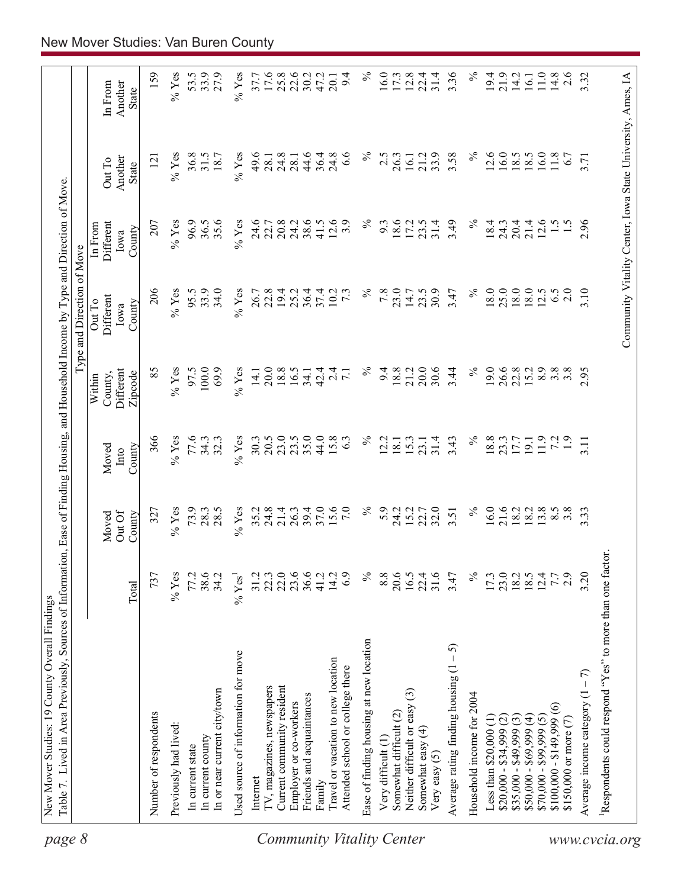| page 8                           | Table 7. Lived in Area Previously, Sources of Information, Ease of Finding Housing, and Household Income by Type and Direction of Move |                      |                          |                         |                                           | Type and Direction of Move                                 |                                        |                            |                             |
|----------------------------------|----------------------------------------------------------------------------------------------------------------------------------------|----------------------|--------------------------|-------------------------|-------------------------------------------|------------------------------------------------------------|----------------------------------------|----------------------------|-----------------------------|
|                                  |                                                                                                                                        | Total                | OutOf<br>County<br>Moved | County<br>Moved<br>Into | Different<br>Zipcode<br>County,<br>Within | Different<br>Out To<br>County<br>Iowa                      | Different<br>In From<br>County<br>Iowa | Another<br>Out To<br>State | In From<br>Another<br>State |
|                                  | Number of respondents                                                                                                                  | 737                  | 327                      | 366                     | 85                                        | 206                                                        | 207                                    | $\overline{2}$             | 159                         |
|                                  | Previously had lived:                                                                                                                  | $%$ Yes              | $%$ Yes                  | $%$ Yes                 | $\%$ Yes                                  | $%$ Yes                                                    | $%$ Yes                                | $\%$ Yes                   | $\%$ Yes                    |
|                                  | In current state                                                                                                                       | 77.2                 | 73.9                     | 77.6                    | 97.5                                      | 95.5                                                       | 96.9                                   | 36.8                       | 53.5                        |
|                                  | In current county                                                                                                                      | 38.6                 | 28.3                     | 34.3                    | 100.0                                     | 33.9                                                       | 36.5                                   | 31.5                       | 33.9                        |
|                                  | In or near current city/town                                                                                                           | 34.2                 | 28.5                     | 32.3                    | 69.9                                      | 34.0                                                       | 35.6                                   | 18.7                       | 27.9                        |
|                                  | Used source of information for move                                                                                                    | $%$ Yes <sup>1</sup> | $%$ Yes                  | $%$ Yes                 | $%$ Yes                                   | $%$ Yes                                                    | $%$ Yes                                | $\%$ Yes                   | $%$ Yes                     |
|                                  | Internet                                                                                                                               | 31.2                 | 35.2                     | 30.3                    | 14.1                                      | 26.7                                                       | 24.6                                   | 49.6                       | 37.7                        |
|                                  | TV, magazines, newspapers                                                                                                              | 22.3                 | 24.8                     | 20.5                    | 20.0                                      | 22.8                                                       | 22.7                                   | 28.1                       | 17.6                        |
|                                  | Current community resident                                                                                                             | 22.0                 | 21.4                     | 23.0                    | 18.8                                      | 19.4                                                       | 20.8                                   | 24.8                       | 25.8                        |
|                                  | Employer or co-workers                                                                                                                 | 23.6                 | 26.3                     | 23.5                    | 16.5                                      | 25.2                                                       | 24.2                                   | 28.1                       | 22.6                        |
|                                  | Friends and acquaintances                                                                                                              | 36.6                 | 39.4                     | 35.0                    | 34.1                                      | 36.4                                                       | 38.6                                   | 44.6                       | 30.2                        |
|                                  | Family                                                                                                                                 | 41.2                 | 37.0                     | 44.0                    | 42.4                                      | 37.4                                                       | 41.5                                   | 36.4                       | 47.2                        |
| <b>Community Vitality Center</b> | Travel or vacation to new location<br>Attended school or college there                                                                 | 14.2<br>6.9          | 15.6<br>7.0              | 15.8<br>63              | $2\overline{4}$<br>$\overline{7.1}$       | 10.2<br>$7\cdot$                                           | 12.6<br>3.9                            | 24.8<br>$\frac{6}{6}$      | 9.4<br>20.1                 |
|                                  | Ease of finding housing at new location                                                                                                | $\%$                 | $\%$                     | $\%$                    | $\%$                                      | $\%$                                                       | $\%$                                   | న                          | $\%$                        |
|                                  | Very difficult (1)                                                                                                                     | 8.8                  | 5.9                      | 2.2                     | 9.4                                       | 7.8                                                        | 9.3                                    | 2.5                        | 16.0                        |
|                                  | Somewhat difficult (2)                                                                                                                 | 20.6                 | 24.2                     | 18.1                    | 18.8                                      | 23.0                                                       | 18.6                                   | 26.3                       | 17.3                        |
|                                  | $\widehat{\mathbb{C}}$<br>Neither difficult or easy                                                                                    | 16.5                 | 15.2                     | 15.3                    | 21.2                                      | 14.7                                                       | 17.2                                   | 16.1                       | 12.8                        |
|                                  | Somewhat easy (4)<br>Very easy $(5)$                                                                                                   | 31.6<br>22.4         | 32.0<br>22.7             | 31.4<br>23.1            | 20.0<br>30.6                              | 30.9<br>23.5                                               | 31.4<br>23.5                           | 33.9<br>21.2               | 31.4<br>22.4                |
|                                  | 5<br>$\mathsf I$<br>Average rating finding housing (1                                                                                  | 3.47                 | 3.51                     | 3.43                    | 3.44                                      | 3.47                                                       | 3.49                                   | 3.58                       | 3.36                        |
|                                  | Household income for 2004                                                                                                              | $\%$                 | $\%$                     | $\%$                    | $\%$                                      | $\%$                                                       | $\%$                                   | $\%$                       | $\%$                        |
|                                  | Less than $$20,000$ $(1)$                                                                                                              | 17.3                 | 16.0                     | 18.8                    | 19.0                                      | 18.0                                                       | 18.4                                   | 12.6                       | 19.4                        |
|                                  | $$20,000 - $34,999 (2)$                                                                                                                | 23.0                 | 21.6                     | 23.3                    | 26.6                                      | 25.0                                                       | 24.3                                   | 16.0                       | 21.9                        |
|                                  | $$35,000 - $49,999(3)$                                                                                                                 |                      | 18.2                     | 17.7                    | 22.8                                      | 18.0                                                       | 20.4                                   | 18.5                       | 14.2                        |
|                                  | $$50,000 - $69,999(4)$                                                                                                                 | 18.5                 | 18.2                     | 19.1                    | 15.2                                      | 18.0                                                       | 21.4                                   | 18.5                       | 16.1                        |
|                                  | $$70,000 - $99,999(5)$                                                                                                                 | 12.4                 | 13.8                     | 11.9                    | 8.9                                       | 12.5                                                       | 12.6                                   | 16.0                       | 11.0                        |
|                                  | $\widehat{\circ}$<br>$$100,000 - $149,999$                                                                                             | 7.7                  | $8.\overline{5}$         | 7.2                     | $3.\overline{8}$                          | 6.5                                                        | $\frac{1}{5}$                          | 11.8                       | 14.8                        |
|                                  | \$150,000 or more (7)                                                                                                                  | 2.9                  | $3.\overline{8}$         | $\ddot{1}$ .            | $3.\overline{8}$                          | 2.0                                                        |                                        | 6.7                        | 2.6                         |
|                                  | Average income category $(1 - 7)$                                                                                                      | 3.20                 | 3.33                     | 3.11                    | 2.95                                      | 3.10                                                       | 2.96                                   | 3.71                       | 3.32                        |
| www.cvcia.org                    | Respondents could respond "Yes" to more than one factor.                                                                               |                      |                          |                         |                                           |                                                            |                                        |                            |                             |
|                                  |                                                                                                                                        |                      |                          |                         |                                           | Community Vitality Center, Iowa State University, Ames, IA |                                        |                            |                             |
|                                  |                                                                                                                                        |                      |                          |                         |                                           |                                                            |                                        |                            |                             |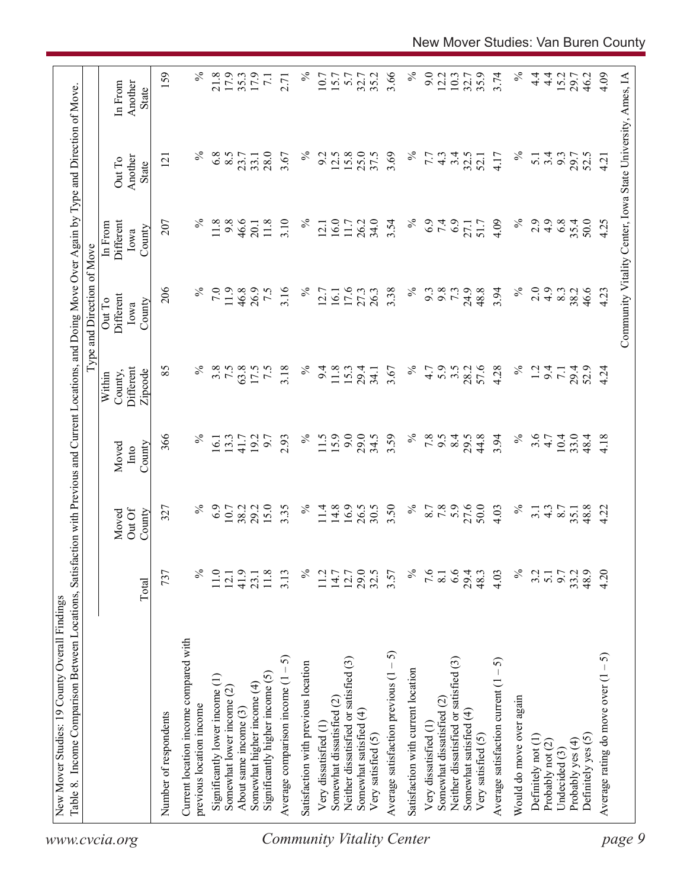| 159<br>3.66<br>$\%$<br>$\%$<br>$\%$<br>21.8<br>17.9<br>$\%$<br>9.0<br>3.74<br>$4\frac{4}{1}$<br>4.09<br>17.9<br>35.2<br>12.2<br>10.3<br>35.9<br>$\frac{4}{1}$<br>15.2<br>Community Vitality Center, Iowa State University, Ames, IA<br>35.3<br>10.7<br>15.7<br>5.7<br>32.7<br>32.7<br>29.7<br>46.2<br>$\overline{7.1}$<br>2.71<br>Another<br>In From<br>State<br>$\%$<br>$\%$<br>$\%$<br>6.8<br>8.5<br>28.0<br>$\%$<br>12.5<br>15.8<br>25.0<br>37.5<br>3.69<br>3.4<br>3.67<br>9.2<br>32.5<br>3.4<br>9.3<br>7.7<br>$4\degree$<br>4.17<br>$\overline{5.1}$<br>29.7<br>52.5<br>23.7<br>33.1<br>52.1<br>4.21<br>Another<br>$\overline{2}$<br>Out To<br>State<br>$\%$<br>$\%$<br>11.8<br>9.8<br>46.6<br>3.10<br>16.0<br>34.0<br>$\%$<br>6.9<br>7.4<br>6.9<br>2.9<br>4.9<br>6.8<br>35.4<br>50.0<br>207<br>11.8<br>$\%$<br>26.2<br>3.54<br>4.09<br>4.25<br>Different<br>11.7<br>51.7<br>27.1<br>20.1<br>12.1<br>In From<br>County<br>Iowa<br>206<br>$\%$<br>$\%$<br>$\%$<br>7.0<br>11.9<br>46.8<br>3.16<br>$\%$<br>3.38<br>9.8<br>73<br>24.9<br>48.8<br>3.94<br>2.0<br>$\ddot{4}$ .<br>26.9<br>7.5<br>17.6<br>27.3<br>26.3<br>9.3<br>8.3<br>38.2<br>46.6<br>4.23<br>12.7<br>16.1<br>Different<br>Out To<br>County<br>Iowa<br>$\%$<br>$\%$<br>5.9<br>57.6<br>$\%$<br>85<br>3.8<br>7.5<br>63.8<br>3.18<br>$\%$<br>3.5<br>4.28<br>Different<br>17.5<br>7.5<br>9.4<br>11.8<br>15.3<br>3.67<br>4.7<br>28.2<br>1.2<br>9.4<br>29.4<br>29.4<br>52.9<br>4.24<br>34.1<br>$\overline{7}$ .<br>County,<br>Zipcode<br>Within<br>15.9<br>9.0<br>3.59<br>$\%$<br>$\%$<br>3.6<br>366<br>$\%$<br>$\%$<br>29.0<br>34.5<br>7.8<br>8.4<br>44.8<br>3.94<br>$10.4\,$<br>33.0<br>2.93<br>11.5<br>6.6<br>29.5<br>4.18<br>13.3<br>192<br>6.7<br>4.7<br>48.4<br>16.1<br>41.7<br>County<br>Moved<br>Into<br>6.9<br>15.0<br>16.9<br>26.5<br>$\%$<br>7.8<br>27.6<br>50.0<br>$\%$<br>$\%$<br>29.2<br>3.35<br>$\%$<br>14.8<br>30.5<br>3.50<br>8.7<br>48.8<br>10.7<br>38.2<br>11.4<br>$\frac{4.3}{8.7}$<br>4.22<br>327<br>4.03<br>3.1<br>35.1<br>Out Of<br>County<br>Moved<br>$\%$<br>29.0<br>$\%$<br>6.6<br>$\%$<br>4.20<br>737<br>℅<br>41.9<br>32.5<br>7.6<br>4.03<br>9.7<br>48.9<br>11.0<br>$11.8$<br>3.13<br>11.2<br>$14.7$<br>12.7<br>3.57<br>29.4<br>48.3<br>3.2<br>33.2<br>$\overline{5.1}$<br>12.1<br>23.1<br>$\overline{8.1}$<br>Total<br>Current location income compared with<br>Average satisfaction previous $(1 - 5)$<br>Average rating do move over $(1 - 5)$<br>5<br>Neither dissatisfied or satisfied (3)<br>Neither dissatisfied or satisfied (3)<br>Average satisfaction current $(1 - 5)$<br>Satisfaction with previous location<br>Satisfaction with current location<br>Significantly higher income (5)<br>Significantly lower income (1)<br>Average comparison income (1<br>Somewhat higher income (4)<br>Somewhat lower income (2)<br>Would do move over again<br>Somewhat dissatisfied (2)<br>Somewhat dissatisfied (2)<br>previous location income<br>About same income (3)<br>Somewhat satisfied (4)<br>Somewhat satisfied (4)<br>Number of respondents<br>Very dissatisfied (1<br>Very dissatisfied (1<br>Very satisfied (5)<br>Very satisfied (5)<br>Definitely yes (5)<br>Definitely not (1)<br>Probably yes (4)<br>Probably not (2)<br>Undecided (3)<br>www.cvcia.org | Table 8. Income Comparison Between Locations, | Satisfa |  | action with Previous and Current Locations, and Doing Move Over Again by Type and Direction of Move<br>Type and Direction of Move |  |  |
|---------------------------------------------------------------------------------------------------------------------------------------------------------------------------------------------------------------------------------------------------------------------------------------------------------------------------------------------------------------------------------------------------------------------------------------------------------------------------------------------------------------------------------------------------------------------------------------------------------------------------------------------------------------------------------------------------------------------------------------------------------------------------------------------------------------------------------------------------------------------------------------------------------------------------------------------------------------------------------------------------------------------------------------------------------------------------------------------------------------------------------------------------------------------------------------------------------------------------------------------------------------------------------------------------------------------------------------------------------------------------------------------------------------------------------------------------------------------------------------------------------------------------------------------------------------------------------------------------------------------------------------------------------------------------------------------------------------------------------------------------------------------------------------------------------------------------------------------------------------------------------------------------------------------------------------------------------------------------------------------------------------------------------------------------------------------------------------------------------------------------------------------------------------------------------------------------------------------------------------------------------------------------------------------------------------------------------------------------------------------------------------------------------------------------------------------------------------------------------------------------------------------------------------------------------------------------------------------------------------------------------------------------------------------------------------------------------------------------------------------------------------------------------------------------------------------------------------------------------------------------------------------------------------------------------------------------------------------------------------------------------------------------------------------------------------------------------------------------------------------------------------------------------------------------------------------------------------------------------------------------------------|-----------------------------------------------|---------|--|-----------------------------------------------------------------------------------------------------------------------------------|--|--|
|                                                                                                                                                                                                                                                                                                                                                                                                                                                                                                                                                                                                                                                                                                                                                                                                                                                                                                                                                                                                                                                                                                                                                                                                                                                                                                                                                                                                                                                                                                                                                                                                                                                                                                                                                                                                                                                                                                                                                                                                                                                                                                                                                                                                                                                                                                                                                                                                                                                                                                                                                                                                                                                                                                                                                                                                                                                                                                                                                                                                                                                                                                                                                                                                                                                               |                                               |         |  |                                                                                                                                   |  |  |
|                                                                                                                                                                                                                                                                                                                                                                                                                                                                                                                                                                                                                                                                                                                                                                                                                                                                                                                                                                                                                                                                                                                                                                                                                                                                                                                                                                                                                                                                                                                                                                                                                                                                                                                                                                                                                                                                                                                                                                                                                                                                                                                                                                                                                                                                                                                                                                                                                                                                                                                                                                                                                                                                                                                                                                                                                                                                                                                                                                                                                                                                                                                                                                                                                                                               |                                               |         |  |                                                                                                                                   |  |  |
| page 9<br><b>Community Vitality Center</b>                                                                                                                                                                                                                                                                                                                                                                                                                                                                                                                                                                                                                                                                                                                                                                                                                                                                                                                                                                                                                                                                                                                                                                                                                                                                                                                                                                                                                                                                                                                                                                                                                                                                                                                                                                                                                                                                                                                                                                                                                                                                                                                                                                                                                                                                                                                                                                                                                                                                                                                                                                                                                                                                                                                                                                                                                                                                                                                                                                                                                                                                                                                                                                                                                    |                                               |         |  |                                                                                                                                   |  |  |
|                                                                                                                                                                                                                                                                                                                                                                                                                                                                                                                                                                                                                                                                                                                                                                                                                                                                                                                                                                                                                                                                                                                                                                                                                                                                                                                                                                                                                                                                                                                                                                                                                                                                                                                                                                                                                                                                                                                                                                                                                                                                                                                                                                                                                                                                                                                                                                                                                                                                                                                                                                                                                                                                                                                                                                                                                                                                                                                                                                                                                                                                                                                                                                                                                                                               |                                               |         |  |                                                                                                                                   |  |  |
|                                                                                                                                                                                                                                                                                                                                                                                                                                                                                                                                                                                                                                                                                                                                                                                                                                                                                                                                                                                                                                                                                                                                                                                                                                                                                                                                                                                                                                                                                                                                                                                                                                                                                                                                                                                                                                                                                                                                                                                                                                                                                                                                                                                                                                                                                                                                                                                                                                                                                                                                                                                                                                                                                                                                                                                                                                                                                                                                                                                                                                                                                                                                                                                                                                                               |                                               |         |  |                                                                                                                                   |  |  |
|                                                                                                                                                                                                                                                                                                                                                                                                                                                                                                                                                                                                                                                                                                                                                                                                                                                                                                                                                                                                                                                                                                                                                                                                                                                                                                                                                                                                                                                                                                                                                                                                                                                                                                                                                                                                                                                                                                                                                                                                                                                                                                                                                                                                                                                                                                                                                                                                                                                                                                                                                                                                                                                                                                                                                                                                                                                                                                                                                                                                                                                                                                                                                                                                                                                               |                                               |         |  |                                                                                                                                   |  |  |
|                                                                                                                                                                                                                                                                                                                                                                                                                                                                                                                                                                                                                                                                                                                                                                                                                                                                                                                                                                                                                                                                                                                                                                                                                                                                                                                                                                                                                                                                                                                                                                                                                                                                                                                                                                                                                                                                                                                                                                                                                                                                                                                                                                                                                                                                                                                                                                                                                                                                                                                                                                                                                                                                                                                                                                                                                                                                                                                                                                                                                                                                                                                                                                                                                                                               |                                               |         |  |                                                                                                                                   |  |  |
|                                                                                                                                                                                                                                                                                                                                                                                                                                                                                                                                                                                                                                                                                                                                                                                                                                                                                                                                                                                                                                                                                                                                                                                                                                                                                                                                                                                                                                                                                                                                                                                                                                                                                                                                                                                                                                                                                                                                                                                                                                                                                                                                                                                                                                                                                                                                                                                                                                                                                                                                                                                                                                                                                                                                                                                                                                                                                                                                                                                                                                                                                                                                                                                                                                                               |                                               |         |  |                                                                                                                                   |  |  |
|                                                                                                                                                                                                                                                                                                                                                                                                                                                                                                                                                                                                                                                                                                                                                                                                                                                                                                                                                                                                                                                                                                                                                                                                                                                                                                                                                                                                                                                                                                                                                                                                                                                                                                                                                                                                                                                                                                                                                                                                                                                                                                                                                                                                                                                                                                                                                                                                                                                                                                                                                                                                                                                                                                                                                                                                                                                                                                                                                                                                                                                                                                                                                                                                                                                               |                                               |         |  |                                                                                                                                   |  |  |
|                                                                                                                                                                                                                                                                                                                                                                                                                                                                                                                                                                                                                                                                                                                                                                                                                                                                                                                                                                                                                                                                                                                                                                                                                                                                                                                                                                                                                                                                                                                                                                                                                                                                                                                                                                                                                                                                                                                                                                                                                                                                                                                                                                                                                                                                                                                                                                                                                                                                                                                                                                                                                                                                                                                                                                                                                                                                                                                                                                                                                                                                                                                                                                                                                                                               |                                               |         |  |                                                                                                                                   |  |  |
|                                                                                                                                                                                                                                                                                                                                                                                                                                                                                                                                                                                                                                                                                                                                                                                                                                                                                                                                                                                                                                                                                                                                                                                                                                                                                                                                                                                                                                                                                                                                                                                                                                                                                                                                                                                                                                                                                                                                                                                                                                                                                                                                                                                                                                                                                                                                                                                                                                                                                                                                                                                                                                                                                                                                                                                                                                                                                                                                                                                                                                                                                                                                                                                                                                                               |                                               |         |  |                                                                                                                                   |  |  |
|                                                                                                                                                                                                                                                                                                                                                                                                                                                                                                                                                                                                                                                                                                                                                                                                                                                                                                                                                                                                                                                                                                                                                                                                                                                                                                                                                                                                                                                                                                                                                                                                                                                                                                                                                                                                                                                                                                                                                                                                                                                                                                                                                                                                                                                                                                                                                                                                                                                                                                                                                                                                                                                                                                                                                                                                                                                                                                                                                                                                                                                                                                                                                                                                                                                               |                                               |         |  |                                                                                                                                   |  |  |
|                                                                                                                                                                                                                                                                                                                                                                                                                                                                                                                                                                                                                                                                                                                                                                                                                                                                                                                                                                                                                                                                                                                                                                                                                                                                                                                                                                                                                                                                                                                                                                                                                                                                                                                                                                                                                                                                                                                                                                                                                                                                                                                                                                                                                                                                                                                                                                                                                                                                                                                                                                                                                                                                                                                                                                                                                                                                                                                                                                                                                                                                                                                                                                                                                                                               |                                               |         |  |                                                                                                                                   |  |  |
|                                                                                                                                                                                                                                                                                                                                                                                                                                                                                                                                                                                                                                                                                                                                                                                                                                                                                                                                                                                                                                                                                                                                                                                                                                                                                                                                                                                                                                                                                                                                                                                                                                                                                                                                                                                                                                                                                                                                                                                                                                                                                                                                                                                                                                                                                                                                                                                                                                                                                                                                                                                                                                                                                                                                                                                                                                                                                                                                                                                                                                                                                                                                                                                                                                                               |                                               |         |  |                                                                                                                                   |  |  |
|                                                                                                                                                                                                                                                                                                                                                                                                                                                                                                                                                                                                                                                                                                                                                                                                                                                                                                                                                                                                                                                                                                                                                                                                                                                                                                                                                                                                                                                                                                                                                                                                                                                                                                                                                                                                                                                                                                                                                                                                                                                                                                                                                                                                                                                                                                                                                                                                                                                                                                                                                                                                                                                                                                                                                                                                                                                                                                                                                                                                                                                                                                                                                                                                                                                               |                                               |         |  |                                                                                                                                   |  |  |
|                                                                                                                                                                                                                                                                                                                                                                                                                                                                                                                                                                                                                                                                                                                                                                                                                                                                                                                                                                                                                                                                                                                                                                                                                                                                                                                                                                                                                                                                                                                                                                                                                                                                                                                                                                                                                                                                                                                                                                                                                                                                                                                                                                                                                                                                                                                                                                                                                                                                                                                                                                                                                                                                                                                                                                                                                                                                                                                                                                                                                                                                                                                                                                                                                                                               |                                               |         |  |                                                                                                                                   |  |  |
|                                                                                                                                                                                                                                                                                                                                                                                                                                                                                                                                                                                                                                                                                                                                                                                                                                                                                                                                                                                                                                                                                                                                                                                                                                                                                                                                                                                                                                                                                                                                                                                                                                                                                                                                                                                                                                                                                                                                                                                                                                                                                                                                                                                                                                                                                                                                                                                                                                                                                                                                                                                                                                                                                                                                                                                                                                                                                                                                                                                                                                                                                                                                                                                                                                                               |                                               |         |  |                                                                                                                                   |  |  |
|                                                                                                                                                                                                                                                                                                                                                                                                                                                                                                                                                                                                                                                                                                                                                                                                                                                                                                                                                                                                                                                                                                                                                                                                                                                                                                                                                                                                                                                                                                                                                                                                                                                                                                                                                                                                                                                                                                                                                                                                                                                                                                                                                                                                                                                                                                                                                                                                                                                                                                                                                                                                                                                                                                                                                                                                                                                                                                                                                                                                                                                                                                                                                                                                                                                               |                                               |         |  |                                                                                                                                   |  |  |
|                                                                                                                                                                                                                                                                                                                                                                                                                                                                                                                                                                                                                                                                                                                                                                                                                                                                                                                                                                                                                                                                                                                                                                                                                                                                                                                                                                                                                                                                                                                                                                                                                                                                                                                                                                                                                                                                                                                                                                                                                                                                                                                                                                                                                                                                                                                                                                                                                                                                                                                                                                                                                                                                                                                                                                                                                                                                                                                                                                                                                                                                                                                                                                                                                                                               |                                               |         |  |                                                                                                                                   |  |  |
|                                                                                                                                                                                                                                                                                                                                                                                                                                                                                                                                                                                                                                                                                                                                                                                                                                                                                                                                                                                                                                                                                                                                                                                                                                                                                                                                                                                                                                                                                                                                                                                                                                                                                                                                                                                                                                                                                                                                                                                                                                                                                                                                                                                                                                                                                                                                                                                                                                                                                                                                                                                                                                                                                                                                                                                                                                                                                                                                                                                                                                                                                                                                                                                                                                                               |                                               |         |  |                                                                                                                                   |  |  |
|                                                                                                                                                                                                                                                                                                                                                                                                                                                                                                                                                                                                                                                                                                                                                                                                                                                                                                                                                                                                                                                                                                                                                                                                                                                                                                                                                                                                                                                                                                                                                                                                                                                                                                                                                                                                                                                                                                                                                                                                                                                                                                                                                                                                                                                                                                                                                                                                                                                                                                                                                                                                                                                                                                                                                                                                                                                                                                                                                                                                                                                                                                                                                                                                                                                               |                                               |         |  |                                                                                                                                   |  |  |
|                                                                                                                                                                                                                                                                                                                                                                                                                                                                                                                                                                                                                                                                                                                                                                                                                                                                                                                                                                                                                                                                                                                                                                                                                                                                                                                                                                                                                                                                                                                                                                                                                                                                                                                                                                                                                                                                                                                                                                                                                                                                                                                                                                                                                                                                                                                                                                                                                                                                                                                                                                                                                                                                                                                                                                                                                                                                                                                                                                                                                                                                                                                                                                                                                                                               |                                               |         |  |                                                                                                                                   |  |  |
|                                                                                                                                                                                                                                                                                                                                                                                                                                                                                                                                                                                                                                                                                                                                                                                                                                                                                                                                                                                                                                                                                                                                                                                                                                                                                                                                                                                                                                                                                                                                                                                                                                                                                                                                                                                                                                                                                                                                                                                                                                                                                                                                                                                                                                                                                                                                                                                                                                                                                                                                                                                                                                                                                                                                                                                                                                                                                                                                                                                                                                                                                                                                                                                                                                                               |                                               |         |  |                                                                                                                                   |  |  |
|                                                                                                                                                                                                                                                                                                                                                                                                                                                                                                                                                                                                                                                                                                                                                                                                                                                                                                                                                                                                                                                                                                                                                                                                                                                                                                                                                                                                                                                                                                                                                                                                                                                                                                                                                                                                                                                                                                                                                                                                                                                                                                                                                                                                                                                                                                                                                                                                                                                                                                                                                                                                                                                                                                                                                                                                                                                                                                                                                                                                                                                                                                                                                                                                                                                               |                                               |         |  |                                                                                                                                   |  |  |
|                                                                                                                                                                                                                                                                                                                                                                                                                                                                                                                                                                                                                                                                                                                                                                                                                                                                                                                                                                                                                                                                                                                                                                                                                                                                                                                                                                                                                                                                                                                                                                                                                                                                                                                                                                                                                                                                                                                                                                                                                                                                                                                                                                                                                                                                                                                                                                                                                                                                                                                                                                                                                                                                                                                                                                                                                                                                                                                                                                                                                                                                                                                                                                                                                                                               |                                               |         |  |                                                                                                                                   |  |  |
|                                                                                                                                                                                                                                                                                                                                                                                                                                                                                                                                                                                                                                                                                                                                                                                                                                                                                                                                                                                                                                                                                                                                                                                                                                                                                                                                                                                                                                                                                                                                                                                                                                                                                                                                                                                                                                                                                                                                                                                                                                                                                                                                                                                                                                                                                                                                                                                                                                                                                                                                                                                                                                                                                                                                                                                                                                                                                                                                                                                                                                                                                                                                                                                                                                                               |                                               |         |  |                                                                                                                                   |  |  |
|                                                                                                                                                                                                                                                                                                                                                                                                                                                                                                                                                                                                                                                                                                                                                                                                                                                                                                                                                                                                                                                                                                                                                                                                                                                                                                                                                                                                                                                                                                                                                                                                                                                                                                                                                                                                                                                                                                                                                                                                                                                                                                                                                                                                                                                                                                                                                                                                                                                                                                                                                                                                                                                                                                                                                                                                                                                                                                                                                                                                                                                                                                                                                                                                                                                               |                                               |         |  |                                                                                                                                   |  |  |
|                                                                                                                                                                                                                                                                                                                                                                                                                                                                                                                                                                                                                                                                                                                                                                                                                                                                                                                                                                                                                                                                                                                                                                                                                                                                                                                                                                                                                                                                                                                                                                                                                                                                                                                                                                                                                                                                                                                                                                                                                                                                                                                                                                                                                                                                                                                                                                                                                                                                                                                                                                                                                                                                                                                                                                                                                                                                                                                                                                                                                                                                                                                                                                                                                                                               |                                               |         |  |                                                                                                                                   |  |  |
|                                                                                                                                                                                                                                                                                                                                                                                                                                                                                                                                                                                                                                                                                                                                                                                                                                                                                                                                                                                                                                                                                                                                                                                                                                                                                                                                                                                                                                                                                                                                                                                                                                                                                                                                                                                                                                                                                                                                                                                                                                                                                                                                                                                                                                                                                                                                                                                                                                                                                                                                                                                                                                                                                                                                                                                                                                                                                                                                                                                                                                                                                                                                                                                                                                                               |                                               |         |  |                                                                                                                                   |  |  |
|                                                                                                                                                                                                                                                                                                                                                                                                                                                                                                                                                                                                                                                                                                                                                                                                                                                                                                                                                                                                                                                                                                                                                                                                                                                                                                                                                                                                                                                                                                                                                                                                                                                                                                                                                                                                                                                                                                                                                                                                                                                                                                                                                                                                                                                                                                                                                                                                                                                                                                                                                                                                                                                                                                                                                                                                                                                                                                                                                                                                                                                                                                                                                                                                                                                               |                                               |         |  |                                                                                                                                   |  |  |
|                                                                                                                                                                                                                                                                                                                                                                                                                                                                                                                                                                                                                                                                                                                                                                                                                                                                                                                                                                                                                                                                                                                                                                                                                                                                                                                                                                                                                                                                                                                                                                                                                                                                                                                                                                                                                                                                                                                                                                                                                                                                                                                                                                                                                                                                                                                                                                                                                                                                                                                                                                                                                                                                                                                                                                                                                                                                                                                                                                                                                                                                                                                                                                                                                                                               |                                               |         |  |                                                                                                                                   |  |  |